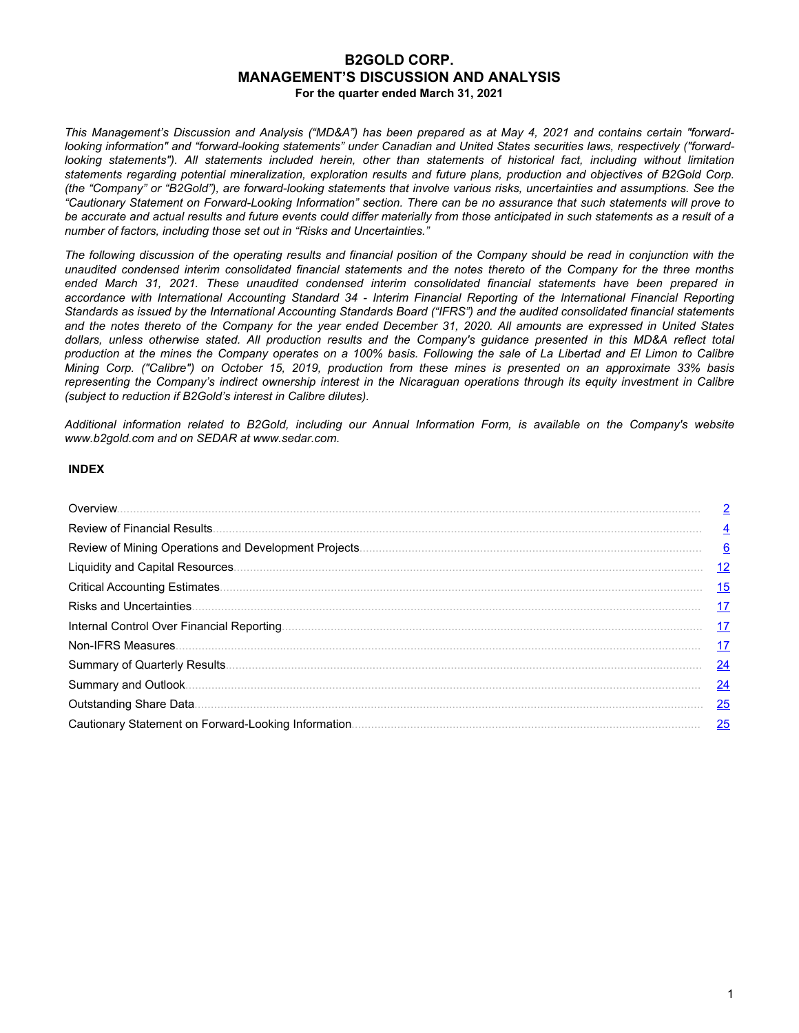# **B2GOLD CORP. MANAGEMENT'S DISCUSSION AND ANALYSIS For the quarter ended March 31, 2021**

*This Management's Discussion and Analysis ("MD&A") has been prepared as at May 4, 2021 and contains certain "forwardlooking information" and "forward-looking statements" under Canadian and United States securities laws, respectively ("forwardlooking statements"). All statements included herein, other than statements of historical fact, including without limitation statements regarding potential mineralization, exploration results and future plans, production and objectives of B2Gold Corp. (the "Company" or "B2Gold"), are forward-looking statements that involve various risks, uncertainties and assumptions. See the "Cautionary Statement on Forward-Looking Information" section. There can be no assurance that such statements will prove to be accurate and actual results and future events could differ materially from those anticipated in such statements as a result of a number of factors, including those set out in "Risks and Uncertainties."*

*The following discussion of the operating results and financial position of the Company should be read in conjunction with the unaudited condensed interim consolidated financial statements and the notes thereto of the Company for the three months ended March 31, 2021. These unaudited condensed interim consolidated financial statements have been prepared in accordance with International Accounting Standard 34 - Interim Financial Reporting of the International Financial Reporting Standards as issued by the International Accounting Standards Board ("IFRS") and the audited consolidated financial statements and the notes thereto of the Company for the year ended December 31, 2020. All amounts are expressed in United States dollars, unless otherwise stated. All production results and the Company's guidance presented in this MD&A reflect total production at the mines the Company operates on a 100% basis. Following the sale of La Libertad and El Limon to Calibre Mining Corp. ("Calibre") on October 15, 2019, production from these mines is presented on an approximate 33% basis representing the Company's indirect ownership interest in the Nicaraguan operations through its equity investment in Calibre (subject to reduction if B2Gold's interest in Calibre dilutes).*

*Additional information related to B2Gold, including our Annual Information Form, is available on the Company's website www.b2gold.com and on SEDAR at www.sedar.com.*

## **INDEX**

| Overview. | $\overline{2}$ |
|-----------|----------------|
|           | $\overline{4}$ |
|           | <u>6</u>       |
|           | <u> 12</u>     |
|           | 15             |
|           | $\frac{17}{2}$ |
|           |                |
|           | $\frac{17}{2}$ |
|           | $\frac{24}{5}$ |
|           | 24             |
|           | 25             |
|           | 25             |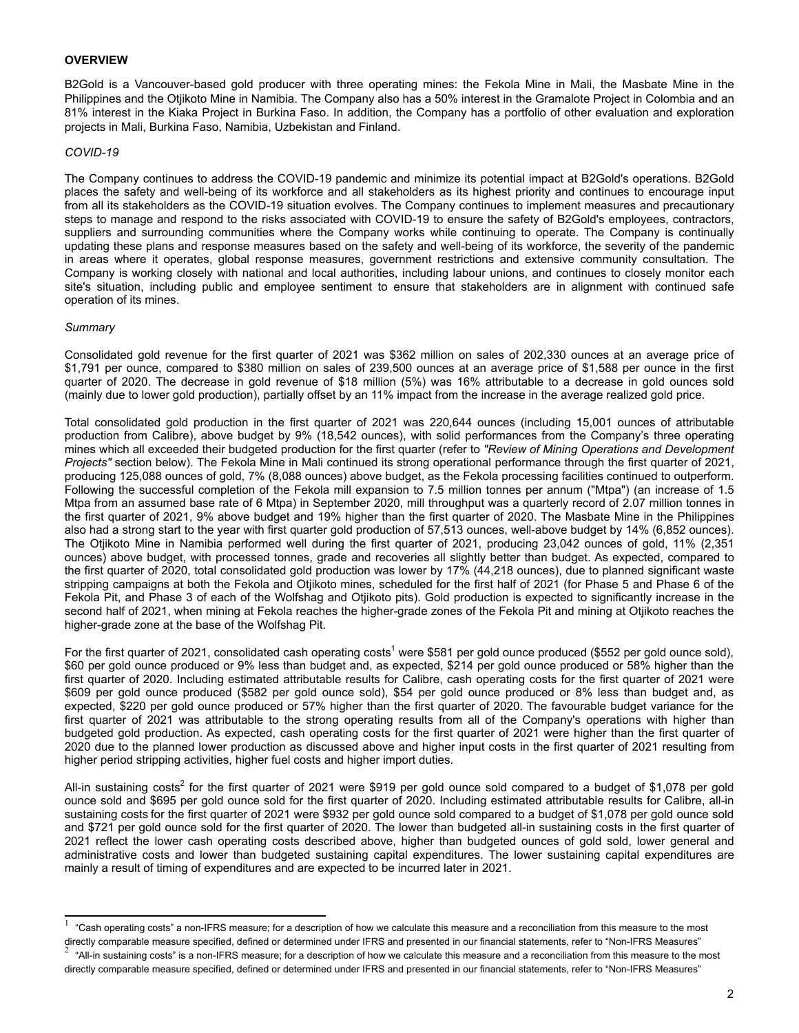## <span id="page-1-0"></span>**OVERVIEW**

B2Gold is a Vancouver-based gold producer with three operating mines: the Fekola Mine in Mali, the Masbate Mine in the Philippines and the Otjikoto Mine in Namibia. The Company also has a 50% interest in the Gramalote Project in Colombia and an 81% interest in the Kiaka Project in Burkina Faso. In addition, the Company has a portfolio of other evaluation and exploration projects in Mali, Burkina Faso, Namibia, Uzbekistan and Finland.

## *COVID-19*

The Company continues to address the COVID-19 pandemic and minimize its potential impact at B2Gold's operations. B2Gold places the safety and well-being of its workforce and all stakeholders as its highest priority and continues to encourage input from all its stakeholders as the COVID-19 situation evolves. The Company continues to implement measures and precautionary steps to manage and respond to the risks associated with COVID-19 to ensure the safety of B2Gold's employees, contractors, suppliers and surrounding communities where the Company works while continuing to operate. The Company is continually updating these plans and response measures based on the safety and well-being of its workforce, the severity of the pandemic in areas where it operates, global response measures, government restrictions and extensive community consultation. The Company is working closely with national and local authorities, including labour unions, and continues to closely monitor each site's situation, including public and employee sentiment to ensure that stakeholders are in alignment with continued safe operation of its mines.

#### *Summary*

Consolidated gold revenue for the first quarter of 2021 was \$362 million on sales of 202,330 ounces at an average price of \$1,791 per ounce, compared to \$380 million on sales of 239,500 ounces at an average price of \$1,588 per ounce in the first quarter of 2020. The decrease in gold revenue of \$18 million (5%) was 16% attributable to a decrease in gold ounces sold (mainly due to lower gold production), partially offset by an 11% impact from the increase in the average realized gold price.

Total consolidated gold production in the first quarter of 2021 was 220,644 ounces (including 15,001 ounces of attributable production from Calibre), above budget by 9% (18,542 ounces), with solid performances from the Company's three operating mines which all exceeded their budgeted production for the first quarter (refer to *"Review of Mining Operations and Development Projects"* section below). The Fekola Mine in Mali continued its strong operational performance through the first quarter of 2021, producing 125,088 ounces of gold, 7% (8,088 ounces) above budget, as the Fekola processing facilities continued to outperform. Following the successful completion of the Fekola mill expansion to 7.5 million tonnes per annum ("Mtpa") (an increase of 1.5 Mtpa from an assumed base rate of 6 Mtpa) in September 2020, mill throughput was a quarterly record of 2.07 million tonnes in the first quarter of 2021, 9% above budget and 19% higher than the first quarter of 2020. The Masbate Mine in the Philippines also had a strong start to the year with first quarter gold production of 57,513 ounces, well-above budget by 14% (6,852 ounces). The Otjikoto Mine in Namibia performed well during the first quarter of 2021, producing 23,042 ounces of gold, 11% (2,351 ounces) above budget, with processed tonnes, grade and recoveries all slightly better than budget. As expected, compared to the first quarter of 2020, total consolidated gold production was lower by 17% (44,218 ounces), due to planned significant waste stripping campaigns at both the Fekola and Otjikoto mines, scheduled for the first half of 2021 (for Phase 5 and Phase 6 of the Fekola Pit, and Phase 3 of each of the Wolfshag and Otjikoto pits). Gold production is expected to significantly increase in the second half of 2021, when mining at Fekola reaches the higher-grade zones of the Fekola Pit and mining at Otjikoto reaches the higher-grade zone at the base of the Wolfshag Pit.

For the first quarter of 2021, consolidated cash operating costs<sup>1</sup> were \$581 per gold ounce produced (\$552 per gold ounce sold), \$60 per gold ounce produced or 9% less than budget and, as expected, \$214 per gold ounce produced or 58% higher than the first quarter of 2020. Including estimated attributable results for Calibre, cash operating costs for the first quarter of 2021 were \$609 per gold ounce produced (\$582 per gold ounce sold), \$54 per gold ounce produced or 8% less than budget and, as expected, \$220 per gold ounce produced or 57% higher than the first quarter of 2020. The favourable budget variance for the first quarter of 2021 was attributable to the strong operating results from all of the Company's operations with higher than budgeted gold production. As expected, cash operating costs for the first quarter of 2021 were higher than the first quarter of 2020 due to the planned lower production as discussed above and higher input costs in the first quarter of 2021 resulting from higher period stripping activities, higher fuel costs and higher import duties.

All-in sustaining costs<sup>2</sup> for the first quarter of 2021 were \$919 per gold ounce sold compared to a budget of \$1,078 per gold ounce sold and \$695 per gold ounce sold for the first quarter of 2020. Including estimated attributable results for Calibre, all-in sustaining costs for the first quarter of 2021 were \$932 per gold ounce sold compared to a budget of \$1,078 per gold ounce sold and \$721 per gold ounce sold for the first quarter of 2020. The lower than budgeted all-in sustaining costs in the first quarter of 2021 reflect the lower cash operating costs described above, higher than budgeted ounces of gold sold, lower general and administrative costs and lower than budgeted sustaining capital expenditures. The lower sustaining capital expenditures are mainly a result of timing of expenditures and are expected to be incurred later in 2021.

<sup>1</sup> "Cash operating costs" a non-IFRS measure; for a description of how we calculate this measure and a reconciliation from this measure to the most directly comparable measure specified, defined or determined under IFRS and presented in our financial statements, refer to "Non-IFRS Measures"

<sup>2</sup> "All-in sustaining costs" is a non-IFRS measure; for a description of how we calculate this measure and a reconciliation from this measure to the most directly comparable measure specified, defined or determined under IFRS and presented in our financial statements, refer to "Non-IFRS Measures"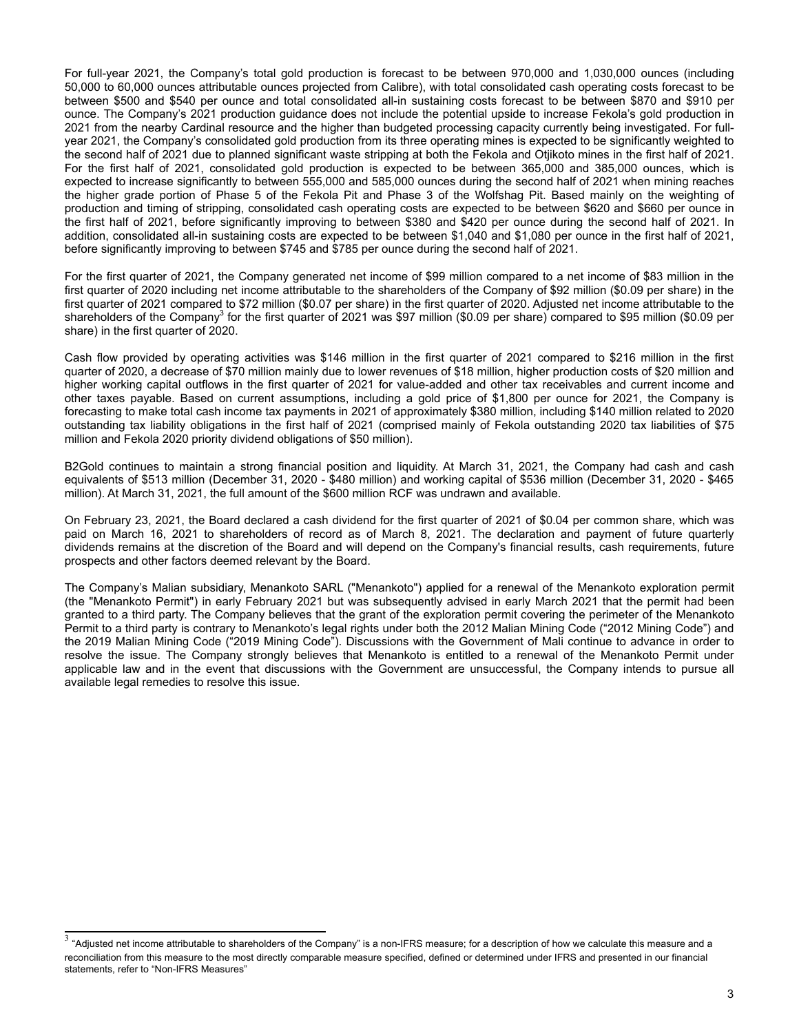For full-year 2021, the Company's total gold production is forecast to be between 970,000 and 1,030,000 ounces (including 50,000 to 60,000 ounces attributable ounces projected from Calibre), with total consolidated cash operating costs forecast to be between \$500 and \$540 per ounce and total consolidated all-in sustaining costs forecast to be between \$870 and \$910 per ounce. The Company's 2021 production guidance does not include the potential upside to increase Fekola's gold production in 2021 from the nearby Cardinal resource and the higher than budgeted processing capacity currently being investigated. For fullyear 2021, the Company's consolidated gold production from its three operating mines is expected to be significantly weighted to the second half of 2021 due to planned significant waste stripping at both the Fekola and Otjikoto mines in the first half of 2021. For the first half of 2021, consolidated gold production is expected to be between 365,000 and 385,000 ounces, which is expected to increase significantly to between 555,000 and 585,000 ounces during the second half of 2021 when mining reaches the higher grade portion of Phase 5 of the Fekola Pit and Phase 3 of the Wolfshag Pit. Based mainly on the weighting of production and timing of stripping, consolidated cash operating costs are expected to be between \$620 and \$660 per ounce in the first half of 2021, before significantly improving to between \$380 and \$420 per ounce during the second half of 2021. In addition, consolidated all-in sustaining costs are expected to be between \$1,040 and \$1,080 per ounce in the first half of 2021, before significantly improving to between \$745 and \$785 per ounce during the second half of 2021.

For the first quarter of 2021, the Company generated net income of \$99 million compared to a net income of \$83 million in the first quarter of 2020 including net income attributable to the shareholders of the Company of \$92 million (\$0.09 per share) in the first quarter of 2021 compared to \$72 million (\$0.07 per share) in the first quarter of 2020. Adjusted net income attributable to the shareholders of the Company<sup>3</sup> for the first quarter of 2021 was \$97 million (\$0.09 per share) compared to \$95 million (\$0.09 per share) in the first quarter of 2020.

Cash flow provided by operating activities was \$146 million in the first quarter of 2021 compared to \$216 million in the first quarter of 2020, a decrease of \$70 million mainly due to lower revenues of \$18 million, higher production costs of \$20 million and higher working capital outflows in the first quarter of 2021 for value-added and other tax receivables and current income and other taxes payable. Based on current assumptions, including a gold price of \$1,800 per ounce for 2021, the Company is forecasting to make total cash income tax payments in 2021 of approximately \$380 million, including \$140 million related to 2020 outstanding tax liability obligations in the first half of 2021 (comprised mainly of Fekola outstanding 2020 tax liabilities of \$75 million and Fekola 2020 priority dividend obligations of \$50 million).

B2Gold continues to maintain a strong financial position and liquidity. At March 31, 2021, the Company had cash and cash equivalents of \$513 million (December 31, 2020 - \$480 million) and working capital of \$536 million (December 31, 2020 - \$465 million). At March 31, 2021, the full amount of the \$600 million RCF was undrawn and available.

On February 23, 2021, the Board declared a cash dividend for the first quarter of 2021 of \$0.04 per common share, which was paid on March 16, 2021 to shareholders of record as of March 8, 2021. The declaration and payment of future quarterly dividends remains at the discretion of the Board and will depend on the Company's financial results, cash requirements, future prospects and other factors deemed relevant by the Board.

The Company's Malian subsidiary, Menankoto SARL ("Menankoto") applied for a renewal of the Menankoto exploration permit (the "Menankoto Permit") in early February 2021 but was subsequently advised in early March 2021 that the permit had been granted to a third party. The Company believes that the grant of the exploration permit covering the perimeter of the Menankoto Permit to a third party is contrary to Menankoto's legal rights under both the 2012 Malian Mining Code ("2012 Mining Code") and the 2019 Malian Mining Code ("2019 Mining Code"). Discussions with the Government of Mali continue to advance in order to resolve the issue. The Company strongly believes that Menankoto is entitled to a renewal of the Menankoto Permit under applicable law and in the event that discussions with the Government are unsuccessful, the Company intends to pursue all available legal remedies to resolve this issue.

<sup>3</sup> "Adjusted net income attributable to shareholders of the Company" is a non-IFRS measure; for a description of how we calculate this measure and a reconciliation from this measure to the most directly comparable measure specified, defined or determined under IFRS and presented in our financial statements, refer to "Non-IFRS Measures"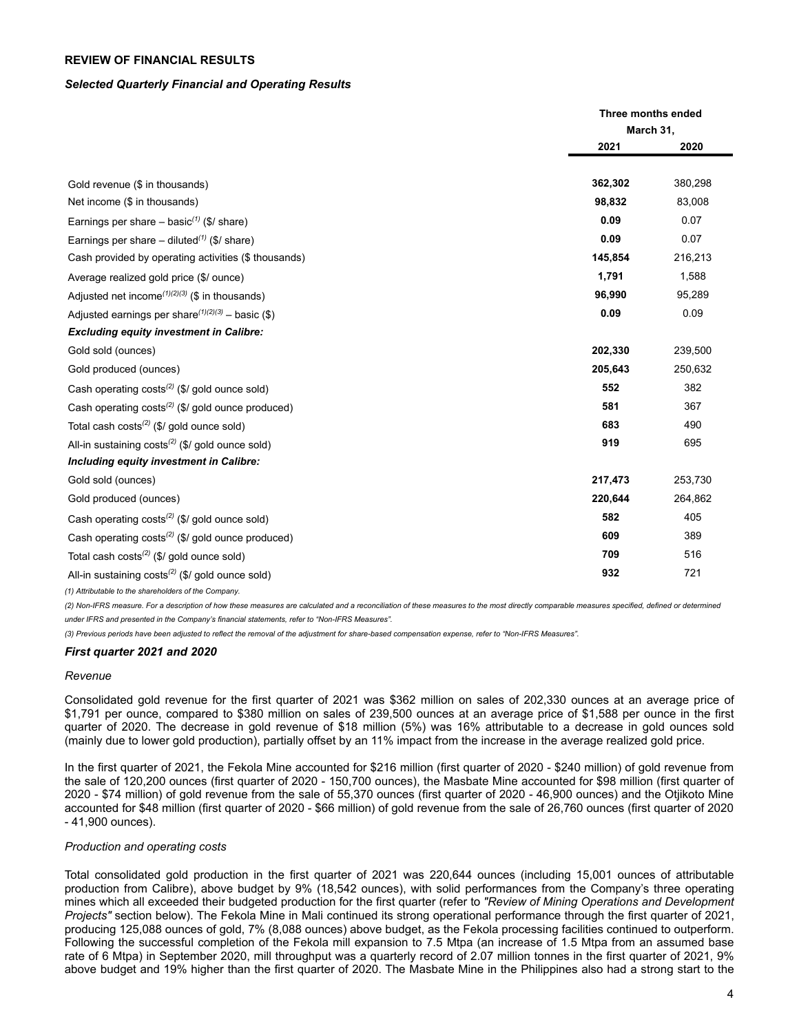## <span id="page-3-0"></span>**REVIEW OF FINANCIAL RESULTS**

#### *Selected Quarterly Financial and Operating Results*

|                                                                         | Three months ended |         |  |
|-------------------------------------------------------------------------|--------------------|---------|--|
|                                                                         | March 31,          |         |  |
|                                                                         | 2021               | 2020    |  |
|                                                                         |                    |         |  |
| Gold revenue (\$ in thousands)                                          | 362,302            | 380,298 |  |
| Net income (\$ in thousands)                                            | 98,832             | 83,008  |  |
| Earnings per share – basic <sup>(1)</sup> (\$/ share)                   | 0.09               | 0.07    |  |
| Earnings per share - diluted <sup>(1)</sup> (\$/ share)                 | 0.09               | 0.07    |  |
| Cash provided by operating activities (\$ thousands)                    | 145,854            | 216,213 |  |
| Average realized gold price (\$/ ounce)                                 | 1,791              | 1,588   |  |
| Adjusted net income <sup><math>(1)(2)(3)</math></sup> (\$ in thousands) | 96,990             | 95,289  |  |
| Adjusted earnings per share $(1)(2)(3)$ – basic (\$)                    | 0.09               | 0.09    |  |
| <b>Excluding equity investment in Calibre:</b>                          |                    |         |  |
| Gold sold (ounces)                                                      | 202,330            | 239,500 |  |
| Gold produced (ounces)                                                  | 205,643            | 250,632 |  |
| Cash operating costs <sup>(2)</sup> (\$/ gold ounce sold)               | 552                | 382     |  |
| Cash operating costs <sup>(2)</sup> (\$/ gold ounce produced)           | 581                | 367     |  |
| Total cash costs <sup>(2)</sup> ( $\sqrt[6]{ }$ gold ounce sold)        | 683                | 490     |  |
| All-in sustaining $costs^{(2)}$ (\$/ gold ounce sold)                   | 919                | 695     |  |
| Including equity investment in Calibre:                                 |                    |         |  |
| Gold sold (ounces)                                                      | 217,473            | 253,730 |  |
| Gold produced (ounces)                                                  | 220,644            | 264,862 |  |
| Cash operating $costs^{(2)}$ (\$/ gold ounce sold)                      | 582                | 405     |  |
| Cash operating $costs^{(2)}$ (\$/ gold ounce produced)                  | 609                | 389     |  |
| Total cash costs <sup>(2)</sup> ( $\sqrt[6]{ }$ gold ounce sold)        | 709                | 516     |  |
| All-in sustaining $costs^{(2)}$ (\$/ gold ounce sold)                   | 932                | 721     |  |
| (1) Attributable to the shareholders of the Company.                    |                    |         |  |

*(2) Non-IFRS measure. For a description of how these measures are calculated and a reconciliation of these measures to the most directly comparable measures specified, defined or determined under IFRS and presented in the Company's financial statements, refer to "Non-IFRS Measures".*

*(3) Previous periods have been adjusted to reflect the removal of the adjustment for share-based compensation expense, refer to "Non-IFRS Measures".*

#### *First quarter 2021 and 2020*

#### *Revenue*

Consolidated gold revenue for the first quarter of 2021 was \$362 million on sales of 202,330 ounces at an average price of \$1,791 per ounce, compared to \$380 million on sales of 239,500 ounces at an average price of \$1,588 per ounce in the first quarter of 2020. The decrease in gold revenue of \$18 million (5%) was 16% attributable to a decrease in gold ounces sold (mainly due to lower gold production), partially offset by an 11% impact from the increase in the average realized gold price.

In the first quarter of 2021, the Fekola Mine accounted for \$216 million (first quarter of 2020 - \$240 million) of gold revenue from the sale of 120,200 ounces (first quarter of 2020 - 150,700 ounces), the Masbate Mine accounted for \$98 million (first quarter of 2020 - \$74 million) of gold revenue from the sale of 55,370 ounces (first quarter of 2020 - 46,900 ounces) and the Otjikoto Mine accounted for \$48 million (first quarter of 2020 - \$66 million) of gold revenue from the sale of 26,760 ounces (first quarter of 2020 - 41,900 ounces).

## *Production and operating costs*

Total consolidated gold production in the first quarter of 2021 was 220,644 ounces (including 15,001 ounces of attributable production from Calibre), above budget by 9% (18,542 ounces), with solid performances from the Company's three operating mines which all exceeded their budgeted production for the first quarter (refer to *"Review of Mining Operations and Development Projects"* section below). The Fekola Mine in Mali continued its strong operational performance through the first quarter of 2021, producing 125,088 ounces of gold, 7% (8,088 ounces) above budget, as the Fekola processing facilities continued to outperform. Following the successful completion of the Fekola mill expansion to 7.5 Mtpa (an increase of 1.5 Mtpa from an assumed base rate of 6 Mtpa) in September 2020, mill throughput was a quarterly record of 2.07 million tonnes in the first quarter of 2021, 9% above budget and 19% higher than the first quarter of 2020. The Masbate Mine in the Philippines also had a strong start to the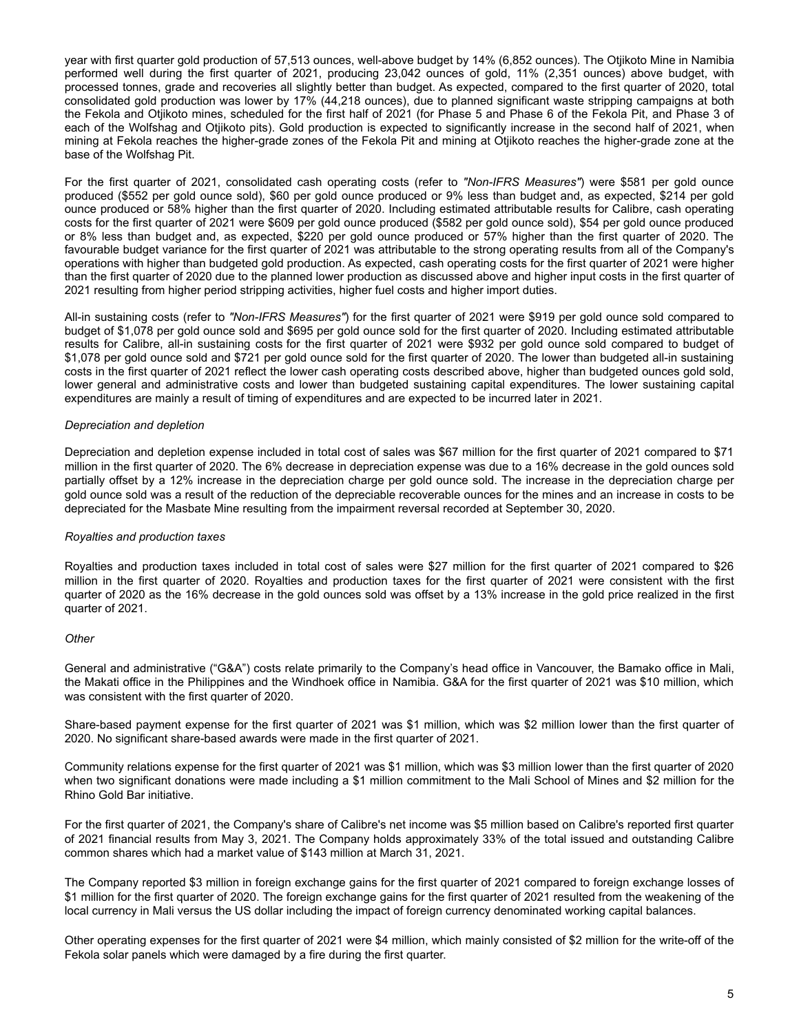year with first quarter gold production of 57,513 ounces, well-above budget by 14% (6,852 ounces). The Otjikoto Mine in Namibia performed well during the first quarter of 2021, producing 23,042 ounces of gold, 11% (2,351 ounces) above budget, with processed tonnes, grade and recoveries all slightly better than budget. As expected, compared to the first quarter of 2020, total consolidated gold production was lower by 17% (44,218 ounces), due to planned significant waste stripping campaigns at both the Fekola and Otjikoto mines, scheduled for the first half of 2021 (for Phase 5 and Phase 6 of the Fekola Pit, and Phase 3 of each of the Wolfshag and Otjikoto pits). Gold production is expected to significantly increase in the second half of 2021, when mining at Fekola reaches the higher-grade zones of the Fekola Pit and mining at Otjikoto reaches the higher-grade zone at the base of the Wolfshag Pit.

For the first quarter of 2021, consolidated cash operating costs (refer to *"Non-IFRS Measures"*) were \$581 per gold ounce produced (\$552 per gold ounce sold), \$60 per gold ounce produced or 9% less than budget and, as expected, \$214 per gold ounce produced or 58% higher than the first quarter of 2020. Including estimated attributable results for Calibre, cash operating costs for the first quarter of 2021 were \$609 per gold ounce produced (\$582 per gold ounce sold), \$54 per gold ounce produced or 8% less than budget and, as expected, \$220 per gold ounce produced or 57% higher than the first quarter of 2020. The favourable budget variance for the first quarter of 2021 was attributable to the strong operating results from all of the Company's operations with higher than budgeted gold production. As expected, cash operating costs for the first quarter of 2021 were higher than the first quarter of 2020 due to the planned lower production as discussed above and higher input costs in the first quarter of 2021 resulting from higher period stripping activities, higher fuel costs and higher import duties.

All-in sustaining costs (refer to *"Non-IFRS Measures"*) for the first quarter of 2021 were \$919 per gold ounce sold compared to budget of \$1,078 per gold ounce sold and \$695 per gold ounce sold for the first quarter of 2020. Including estimated attributable results for Calibre, all-in sustaining costs for the first quarter of 2021 were \$932 per gold ounce sold compared to budget of \$1,078 per gold ounce sold and \$721 per gold ounce sold for the first quarter of 2020. The lower than budgeted all-in sustaining costs in the first quarter of 2021 reflect the lower cash operating costs described above, higher than budgeted ounces gold sold, lower general and administrative costs and lower than budgeted sustaining capital expenditures. The lower sustaining capital expenditures are mainly a result of timing of expenditures and are expected to be incurred later in 2021.

## *Depreciation and depletion*

Depreciation and depletion expense included in total cost of sales was \$67 million for the first quarter of 2021 compared to \$71 million in the first quarter of 2020. The 6% decrease in depreciation expense was due to a 16% decrease in the gold ounces sold partially offset by a 12% increase in the depreciation charge per gold ounce sold. The increase in the depreciation charge per gold ounce sold was a result of the reduction of the depreciable recoverable ounces for the mines and an increase in costs to be depreciated for the Masbate Mine resulting from the impairment reversal recorded at September 30, 2020.

#### *Royalties and production taxes*

Royalties and production taxes included in total cost of sales were \$27 million for the first quarter of 2021 compared to \$26 million in the first quarter of 2020. Royalties and production taxes for the first quarter of 2021 were consistent with the first quarter of 2020 as the 16% decrease in the gold ounces sold was offset by a 13% increase in the gold price realized in the first quarter of 2021.

## *Other*

General and administrative ("G&A") costs relate primarily to the Company's head office in Vancouver, the Bamako office in Mali, the Makati office in the Philippines and the Windhoek office in Namibia. G&A for the first quarter of 2021 was \$10 million, which was consistent with the first quarter of 2020.

Share-based payment expense for the first quarter of 2021 was \$1 million, which was \$2 million lower than the first quarter of 2020. No significant share-based awards were made in the first quarter of 2021.

Community relations expense for the first quarter of 2021 was \$1 million, which was \$3 million lower than the first quarter of 2020 when two significant donations were made including a \$1 million commitment to the Mali School of Mines and \$2 million for the Rhino Gold Bar initiative.

For the first quarter of 2021, the Company's share of Calibre's net income was \$5 million based on Calibre's reported first quarter of 2021 financial results from May 3, 2021. The Company holds approximately 33% of the total issued and outstanding Calibre common shares which had a market value of \$143 million at March 31, 2021.

The Company reported \$3 million in foreign exchange gains for the first quarter of 2021 compared to foreign exchange losses of \$1 million for the first quarter of 2020. The foreign exchange gains for the first quarter of 2021 resulted from the weakening of the local currency in Mali versus the US dollar including the impact of foreign currency denominated working capital balances.

Other operating expenses for the first quarter of 2021 were \$4 million, which mainly consisted of \$2 million for the write-off of the Fekola solar panels which were damaged by a fire during the first quarter.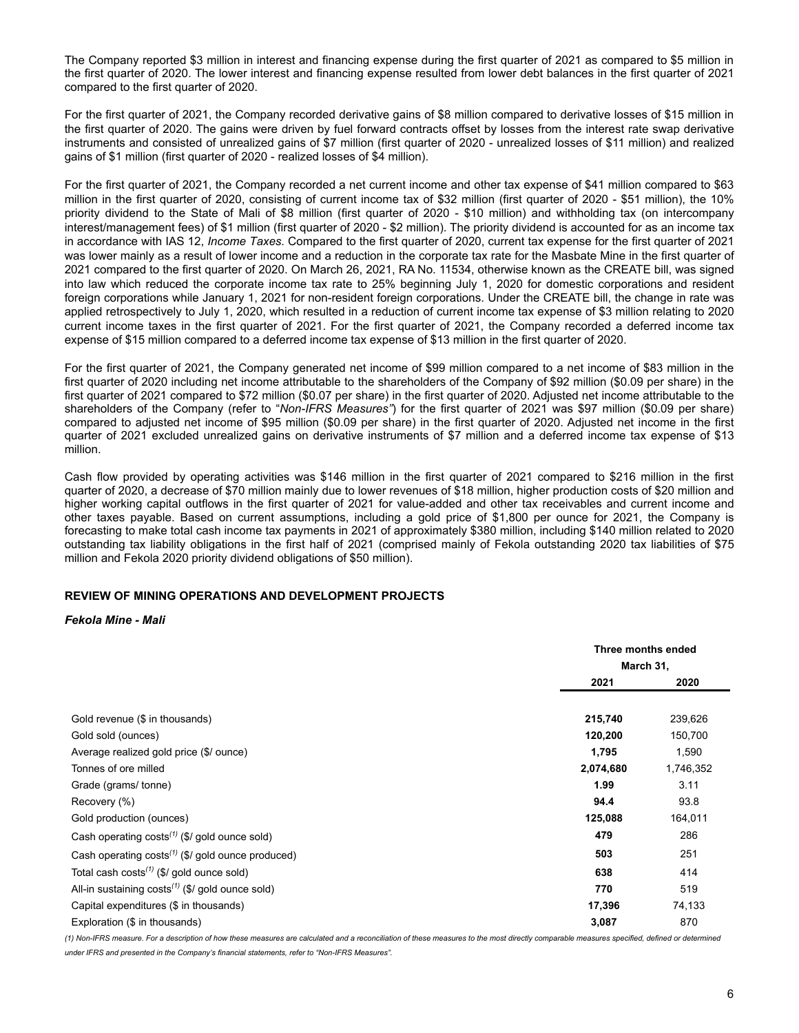<span id="page-5-0"></span>The Company reported \$3 million in interest and financing expense during the first quarter of 2021 as compared to \$5 million in the first quarter of 2020. The lower interest and financing expense resulted from lower debt balances in the first quarter of 2021 compared to the first quarter of 2020.

For the first quarter of 2021, the Company recorded derivative gains of \$8 million compared to derivative losses of \$15 million in the first quarter of 2020. The gains were driven by fuel forward contracts offset by losses from the interest rate swap derivative instruments and consisted of unrealized gains of \$7 million (first quarter of 2020 - unrealized losses of \$11 million) and realized gains of \$1 million (first quarter of 2020 - realized losses of \$4 million).

For the first quarter of 2021, the Company recorded a net current income and other tax expense of \$41 million compared to \$63 million in the first quarter of 2020, consisting of current income tax of \$32 million (first quarter of 2020 - \$51 million), the 10% priority dividend to the State of Mali of \$8 million (first quarter of 2020 - \$10 million) and withholding tax (on intercompany interest/management fees) of \$1 million (first quarter of 2020 - \$2 million). The priority dividend is accounted for as an income tax in accordance with IAS 12, *Income Taxes.* Compared to the first quarter of 2020, current tax expense for the first quarter of 2021 was lower mainly as a result of lower income and a reduction in the corporate tax rate for the Masbate Mine in the first quarter of 2021 compared to the first quarter of 2020. On March 26, 2021, RA No. 11534, otherwise known as the CREATE bill, was signed into law which reduced the corporate income tax rate to 25% beginning July 1, 2020 for domestic corporations and resident foreign corporations while January 1, 2021 for non-resident foreign corporations. Under the CREATE bill, the change in rate was applied retrospectively to July 1, 2020, which resulted in a reduction of current income tax expense of \$3 million relating to 2020 current income taxes in the first quarter of 2021. For the first quarter of 2021, the Company recorded a deferred income tax expense of \$15 million compared to a deferred income tax expense of \$13 million in the first quarter of 2020.

For the first quarter of 2021, the Company generated net income of \$99 million compared to a net income of \$83 million in the first quarter of 2020 including net income attributable to the shareholders of the Company of \$92 million (\$0.09 per share) in the first quarter of 2021 compared to \$72 million (\$0.07 per share) in the first quarter of 2020. Adjusted net income attributable to the shareholders of the Company (refer to "*Non-IFRS Measures"*) for the first quarter of 2021 was \$97 million (\$0.09 per share) compared to adjusted net income of \$95 million (\$0.09 per share) in the first quarter of 2020. Adjusted net income in the first quarter of 2021 excluded unrealized gains on derivative instruments of \$7 million and a deferred income tax expense of \$13 million.

Cash flow provided by operating activities was \$146 million in the first quarter of 2021 compared to \$216 million in the first quarter of 2020, a decrease of \$70 million mainly due to lower revenues of \$18 million, higher production costs of \$20 million and higher working capital outflows in the first quarter of 2021 for value-added and other tax receivables and current income and other taxes payable. Based on current assumptions, including a gold price of \$1,800 per ounce for 2021, the Company is forecasting to make total cash income tax payments in 2021 of approximately \$380 million, including \$140 million related to 2020 outstanding tax liability obligations in the first half of 2021 (comprised mainly of Fekola outstanding 2020 tax liabilities of \$75 million and Fekola 2020 priority dividend obligations of \$50 million).

## **REVIEW OF MINING OPERATIONS AND DEVELOPMENT PROJECTS**

## *Fekola Mine - Mali*

|                                                                | Three months ended<br>March 31, |           |  |
|----------------------------------------------------------------|---------------------------------|-----------|--|
|                                                                |                                 |           |  |
|                                                                | 2021<br>2020                    |           |  |
|                                                                |                                 |           |  |
| Gold revenue (\$ in thousands)                                 | 215,740                         | 239,626   |  |
| Gold sold (ounces)                                             | 120,200                         | 150,700   |  |
| Average realized gold price (\$/ ounce)                        | 1,795                           | 1,590     |  |
| Tonnes of ore milled                                           | 2,074,680                       | 1,746,352 |  |
| Grade (grams/ tonne)                                           | 1.99                            | 3.11      |  |
| Recovery (%)                                                   | 94.4                            | 93.8      |  |
| Gold production (ounces)                                       | 125,088                         | 164,011   |  |
| Cash operating $costs^{(1)}$ (\$/ gold ounce sold)             | 479                             | 286       |  |
| Cash operating $costs^{(1)}$ ( $\sqrt{s}$ gold ounce produced) | 503                             | 251       |  |
| Total cash costs $(1)$ (\$/ gold ounce sold)                   | 638                             | 414       |  |
| All-in sustaining $costs^{(1)}$ (\$/ gold ounce sold)          | 770                             | 519       |  |
| Capital expenditures (\$ in thousands)                         | 17,396                          | 74,133    |  |
| Exploration (\$ in thousands)                                  | 3,087                           | 870       |  |

*(1) Non-IFRS measure. For a description of how these measures are calculated and a reconciliation of these measures to the most directly comparable measures specified, defined or determined under IFRS and presented in the Company's financial statements, refer to "Non-IFRS Measures".*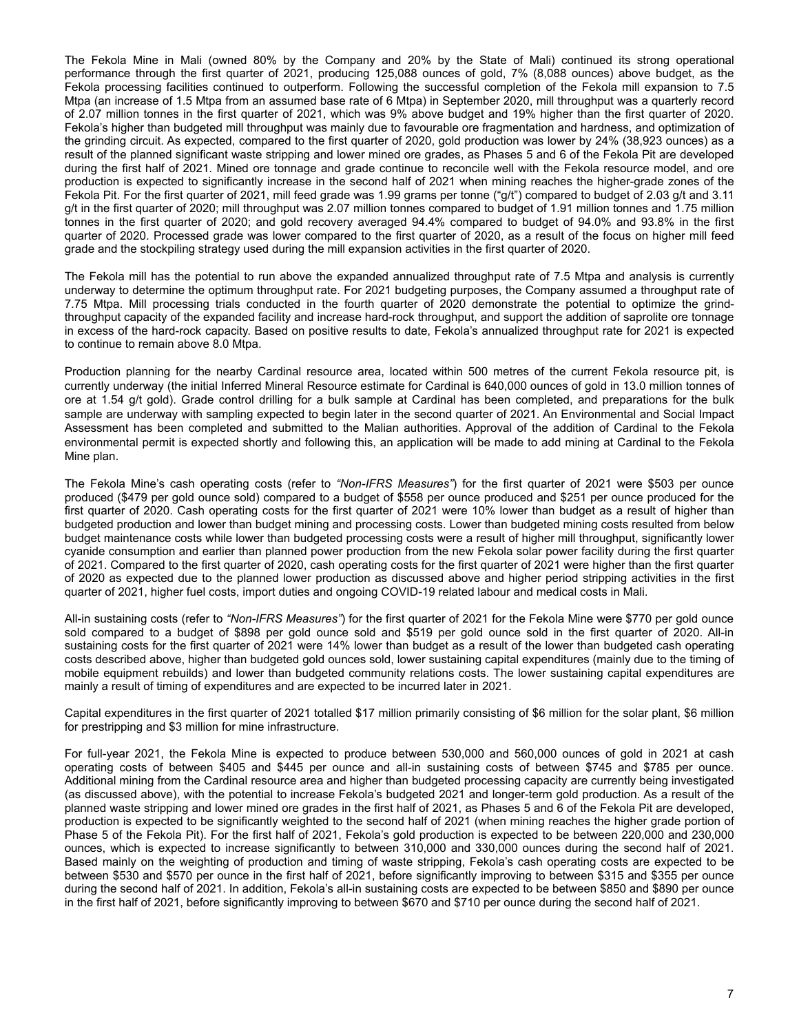The Fekola Mine in Mali (owned 80% by the Company and 20% by the State of Mali) continued its strong operational performance through the first quarter of 2021, producing 125,088 ounces of gold, 7% (8,088 ounces) above budget, as the Fekola processing facilities continued to outperform. Following the successful completion of the Fekola mill expansion to 7.5 Mtpa (an increase of 1.5 Mtpa from an assumed base rate of 6 Mtpa) in September 2020, mill throughput was a quarterly record of 2.07 million tonnes in the first quarter of 2021, which was 9% above budget and 19% higher than the first quarter of 2020. Fekola's higher than budgeted mill throughput was mainly due to favourable ore fragmentation and hardness, and optimization of the grinding circuit. As expected, compared to the first quarter of 2020, gold production was lower by 24% (38,923 ounces) as a result of the planned significant waste stripping and lower mined ore grades, as Phases 5 and 6 of the Fekola Pit are developed during the first half of 2021. Mined ore tonnage and grade continue to reconcile well with the Fekola resource model, and ore production is expected to significantly increase in the second half of 2021 when mining reaches the higher-grade zones of the Fekola Pit. For the first quarter of 2021, mill feed grade was 1.99 grams per tonne ("g/t") compared to budget of 2.03 g/t and 3.11 g/t in the first quarter of 2020; mill throughput was 2.07 million tonnes compared to budget of 1.91 million tonnes and 1.75 million tonnes in the first quarter of 2020; and gold recovery averaged 94.4% compared to budget of 94.0% and 93.8% in the first quarter of 2020. Processed grade was lower compared to the first quarter of 2020, as a result of the focus on higher mill feed grade and the stockpiling strategy used during the mill expansion activities in the first quarter of 2020.

The Fekola mill has the potential to run above the expanded annualized throughput rate of 7.5 Mtpa and analysis is currently underway to determine the optimum throughput rate. For 2021 budgeting purposes, the Company assumed a throughput rate of 7.75 Mtpa. Mill processing trials conducted in the fourth quarter of 2020 demonstrate the potential to optimize the grindthroughput capacity of the expanded facility and increase hard-rock throughput, and support the addition of saprolite ore tonnage in excess of the hard-rock capacity. Based on positive results to date, Fekola's annualized throughput rate for 2021 is expected to continue to remain above 8.0 Mtpa.

Production planning for the nearby Cardinal resource area, located within 500 metres of the current Fekola resource pit, is currently underway (the initial Inferred Mineral Resource estimate for Cardinal is 640,000 ounces of gold in 13.0 million tonnes of ore at 1.54 g/t gold). Grade control drilling for a bulk sample at Cardinal has been completed, and preparations for the bulk sample are underway with sampling expected to begin later in the second quarter of 2021. An Environmental and Social Impact Assessment has been completed and submitted to the Malian authorities. Approval of the addition of Cardinal to the Fekola environmental permit is expected shortly and following this, an application will be made to add mining at Cardinal to the Fekola Mine plan.

The Fekola Mine's cash operating costs (refer to *"Non-IFRS Measures"*) for the first quarter of 2021 were \$503 per ounce produced (\$479 per gold ounce sold) compared to a budget of \$558 per ounce produced and \$251 per ounce produced for the first quarter of 2020. Cash operating costs for the first quarter of 2021 were 10% lower than budget as a result of higher than budgeted production and lower than budget mining and processing costs. Lower than budgeted mining costs resulted from below budget maintenance costs while lower than budgeted processing costs were a result of higher mill throughput, significantly lower cyanide consumption and earlier than planned power production from the new Fekola solar power facility during the first quarter of 2021. Compared to the first quarter of 2020, cash operating costs for the first quarter of 2021 were higher than the first quarter of 2020 as expected due to the planned lower production as discussed above and higher period stripping activities in the first quarter of 2021, higher fuel costs, import duties and ongoing COVID-19 related labour and medical costs in Mali.

All-in sustaining costs (refer to *"Non-IFRS Measures"*) for the first quarter of 2021 for the Fekola Mine were \$770 per gold ounce sold compared to a budget of \$898 per gold ounce sold and \$519 per gold ounce sold in the first quarter of 2020. All-in sustaining costs for the first quarter of 2021 were 14% lower than budget as a result of the lower than budgeted cash operating costs described above, higher than budgeted gold ounces sold, lower sustaining capital expenditures (mainly due to the timing of mobile equipment rebuilds) and lower than budgeted community relations costs. The lower sustaining capital expenditures are mainly a result of timing of expenditures and are expected to be incurred later in 2021.

Capital expenditures in the first quarter of 2021 totalled \$17 million primarily consisting of \$6 million for the solar plant, \$6 million for prestripping and \$3 million for mine infrastructure.

For full-year 2021, the Fekola Mine is expected to produce between 530,000 and 560,000 ounces of gold in 2021 at cash operating costs of between \$405 and \$445 per ounce and all-in sustaining costs of between \$745 and \$785 per ounce. Additional mining from the Cardinal resource area and higher than budgeted processing capacity are currently being investigated (as discussed above), with the potential to increase Fekola's budgeted 2021 and longer-term gold production. As a result of the planned waste stripping and lower mined ore grades in the first half of 2021, as Phases 5 and 6 of the Fekola Pit are developed, production is expected to be significantly weighted to the second half of 2021 (when mining reaches the higher grade portion of Phase 5 of the Fekola Pit). For the first half of 2021, Fekola's gold production is expected to be between 220,000 and 230,000 ounces, which is expected to increase significantly to between 310,000 and 330,000 ounces during the second half of 2021. Based mainly on the weighting of production and timing of waste stripping, Fekola's cash operating costs are expected to be between \$530 and \$570 per ounce in the first half of 2021, before significantly improving to between \$315 and \$355 per ounce during the second half of 2021. In addition, Fekola's all-in sustaining costs are expected to be between \$850 and \$890 per ounce in the first half of 2021, before significantly improving to between \$670 and \$710 per ounce during the second half of 2021.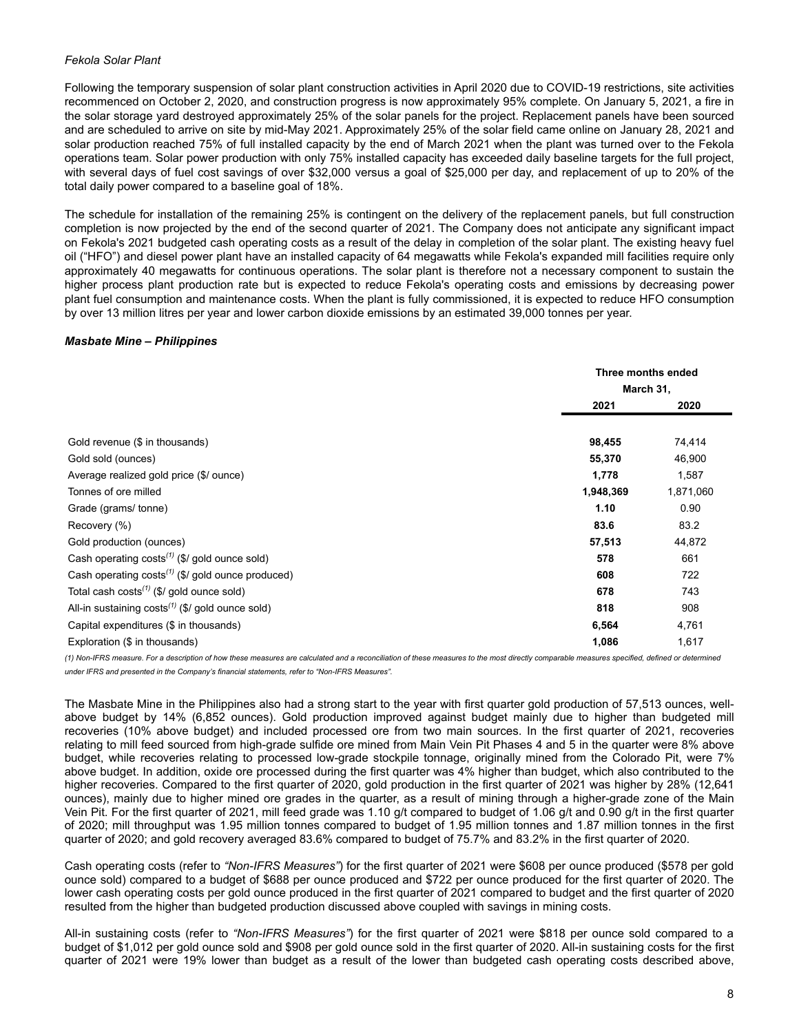#### *Fekola Solar Plant*

Following the temporary suspension of solar plant construction activities in April 2020 due to COVID-19 restrictions, site activities recommenced on October 2, 2020, and construction progress is now approximately 95% complete. On January 5, 2021, a fire in the solar storage yard destroyed approximately 25% of the solar panels for the project. Replacement panels have been sourced and are scheduled to arrive on site by mid-May 2021. Approximately 25% of the solar field came online on January 28, 2021 and solar production reached 75% of full installed capacity by the end of March 2021 when the plant was turned over to the Fekola operations team. Solar power production with only 75% installed capacity has exceeded daily baseline targets for the full project, with several days of fuel cost savings of over \$32,000 versus a goal of \$25,000 per day, and replacement of up to 20% of the total daily power compared to a baseline goal of 18%.

The schedule for installation of the remaining 25% is contingent on the delivery of the replacement panels, but full construction completion is now projected by the end of the second quarter of 2021. The Company does not anticipate any significant impact on Fekola's 2021 budgeted cash operating costs as a result of the delay in completion of the solar plant. The existing heavy fuel oil ("HFO") and diesel power plant have an installed capacity of 64 megawatts while Fekola's expanded mill facilities require only approximately 40 megawatts for continuous operations. The solar plant is therefore not a necessary component to sustain the higher process plant production rate but is expected to reduce Fekola's operating costs and emissions by decreasing power plant fuel consumption and maintenance costs. When the plant is fully commissioned, it is expected to reduce HFO consumption by over 13 million litres per year and lower carbon dioxide emissions by an estimated 39,000 tonnes per year.

#### *Masbate Mine – Philippines*

|                                                        |           | Three months ended<br>March 31, |  |  |
|--------------------------------------------------------|-----------|---------------------------------|--|--|
|                                                        |           |                                 |  |  |
|                                                        | 2021      | 2020                            |  |  |
|                                                        |           |                                 |  |  |
| Gold revenue (\$ in thousands)                         | 98,455    | 74,414                          |  |  |
| Gold sold (ounces)                                     | 55,370    | 46,900                          |  |  |
| Average realized gold price (\$/ ounce)                | 1,778     | 1,587                           |  |  |
| Tonnes of ore milled                                   | 1,948,369 | 1,871,060                       |  |  |
| Grade (grams/ tonne)                                   | 1.10      | 0.90                            |  |  |
| Recovery (%)                                           | 83.6      | 83.2                            |  |  |
| Gold production (ounces)                               | 57,513    | 44,872                          |  |  |
| Cash operating $costs^{(1)}$ (\$/ gold ounce sold)     | 578       | 661                             |  |  |
| Cash operating $costs^{(1)}$ (\$/ gold ounce produced) | 608       | 722                             |  |  |
| Total cash costs $(1)$ (\$/ gold ounce sold)           | 678       | 743                             |  |  |
| All-in sustaining $costs^{(1)}$ (\$/ gold ounce sold)  | 818       | 908                             |  |  |
| Capital expenditures (\$ in thousands)                 | 6,564     | 4,761                           |  |  |
| Exploration (\$ in thousands)                          | 1,086     | 1,617                           |  |  |

*(1) Non-IFRS measure. For a description of how these measures are calculated and a reconciliation of these measures to the most directly comparable measures specified, defined or determined under IFRS and presented in the Company's financial statements, refer to "Non-IFRS Measures".*

The Masbate Mine in the Philippines also had a strong start to the year with first quarter gold production of 57,513 ounces, wellabove budget by 14% (6,852 ounces). Gold production improved against budget mainly due to higher than budgeted mill recoveries (10% above budget) and included processed ore from two main sources. In the first quarter of 2021, recoveries relating to mill feed sourced from high-grade sulfide ore mined from Main Vein Pit Phases 4 and 5 in the quarter were 8% above budget, while recoveries relating to processed low-grade stockpile tonnage, originally mined from the Colorado Pit, were 7% above budget. In addition, oxide ore processed during the first quarter was 4% higher than budget, which also contributed to the higher recoveries. Compared to the first quarter of 2020, gold production in the first quarter of 2021 was higher by 28% (12,641 ounces), mainly due to higher mined ore grades in the quarter, as a result of mining through a higher-grade zone of the Main Vein Pit. For the first quarter of 2021, mill feed grade was 1.10 g/t compared to budget of 1.06 g/t and 0.90 g/t in the first quarter of 2020; mill throughput was 1.95 million tonnes compared to budget of 1.95 million tonnes and 1.87 million tonnes in the first quarter of 2020; and gold recovery averaged 83.6% compared to budget of 75.7% and 83.2% in the first quarter of 2020.

Cash operating costs (refer to *"Non-IFRS Measures"*) for the first quarter of 2021 were \$608 per ounce produced (\$578 per gold ounce sold) compared to a budget of \$688 per ounce produced and \$722 per ounce produced for the first quarter of 2020. The lower cash operating costs per gold ounce produced in the first quarter of 2021 compared to budget and the first quarter of 2020 resulted from the higher than budgeted production discussed above coupled with savings in mining costs.

All-in sustaining costs (refer to *"Non-IFRS Measures"*) for the first quarter of 2021 were \$818 per ounce sold compared to a budget of \$1,012 per gold ounce sold and \$908 per gold ounce sold in the first quarter of 2020. All-in sustaining costs for the first quarter of 2021 were 19% lower than budget as a result of the lower than budgeted cash operating costs described above,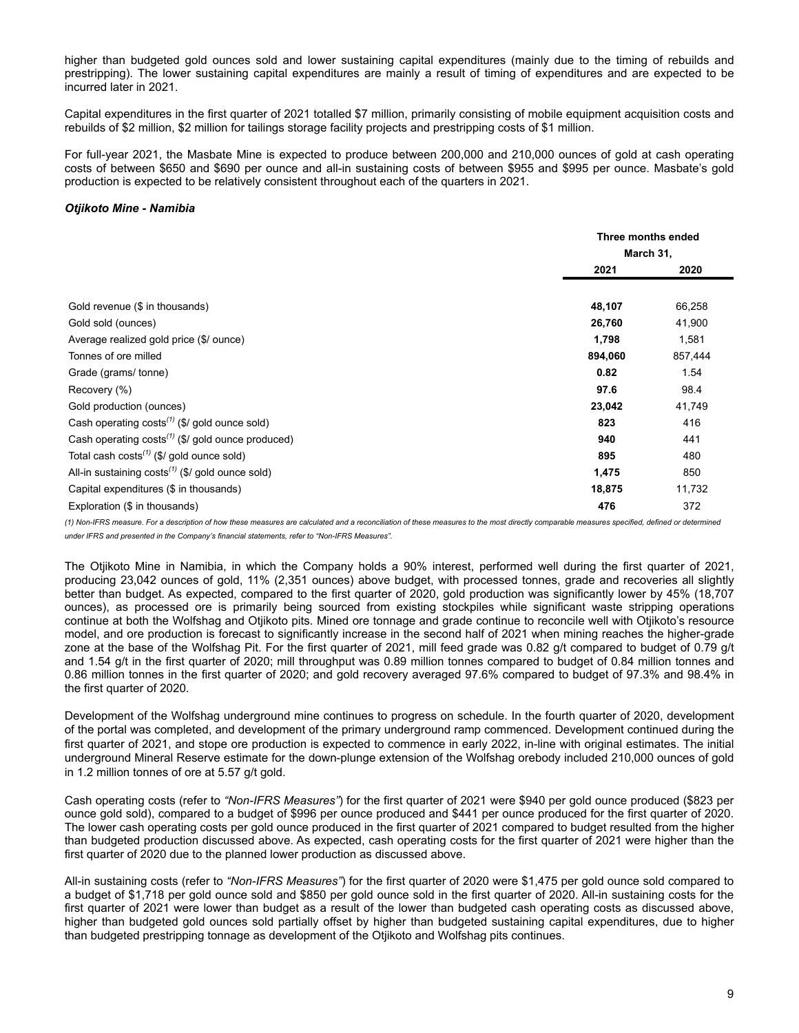higher than budgeted gold ounces sold and lower sustaining capital expenditures (mainly due to the timing of rebuilds and prestripping). The lower sustaining capital expenditures are mainly a result of timing of expenditures and are expected to be incurred later in 2021.

Capital expenditures in the first quarter of 2021 totalled \$7 million, primarily consisting of mobile equipment acquisition costs and rebuilds of \$2 million, \$2 million for tailings storage facility projects and prestripping costs of \$1 million.

For full-year 2021, the Masbate Mine is expected to produce between 200,000 and 210,000 ounces of gold at cash operating costs of between \$650 and \$690 per ounce and all-in sustaining costs of between \$955 and \$995 per ounce. Masbate's gold production is expected to be relatively consistent throughout each of the quarters in 2021.

#### *Otjikoto Mine - Namibia*

|                                                           |           | Three months ended |  |  |
|-----------------------------------------------------------|-----------|--------------------|--|--|
|                                                           | March 31, |                    |  |  |
|                                                           | 2021      | 2020               |  |  |
|                                                           |           |                    |  |  |
| Gold revenue (\$ in thousands)                            | 48,107    | 66,258             |  |  |
| Gold sold (ounces)                                        | 26,760    | 41,900             |  |  |
| Average realized gold price (\$/ ounce)                   | 1,798     | 1,581              |  |  |
| Tonnes of ore milled                                      | 894,060   | 857,444            |  |  |
| Grade (grams/ tonne)                                      | 0.82      | 1.54               |  |  |
| Recovery (%)                                              | 97.6      | 98.4               |  |  |
| Gold production (ounces)                                  | 23,042    | 41,749             |  |  |
| Cash operating costs <sup>(1)</sup> (\$/ gold ounce sold) | 823       | 416                |  |  |
| Cash operating $costs^{(1)}$ (\$/ gold ounce produced)    | 940       | 441                |  |  |
| Total cash costs $(1)$ (\$/ gold ounce sold)              | 895       | 480                |  |  |
| All-in sustaining $costs^{(1)}$ (\$/ gold ounce sold)     | 1,475     | 850                |  |  |
| Capital expenditures (\$ in thousands)                    | 18,875    | 11,732             |  |  |
| Exploration (\$ in thousands)                             | 476       | 372                |  |  |

*(1) Non-IFRS measure. For a description of how these measures are calculated and a reconciliation of these measures to the most directly comparable measures specified, defined or determined under IFRS and presented in the Company's financial statements, refer to "Non-IFRS Measures".*

The Otjikoto Mine in Namibia, in which the Company holds a 90% interest, performed well during the first quarter of 2021, producing 23,042 ounces of gold, 11% (2,351 ounces) above budget, with processed tonnes, grade and recoveries all slightly better than budget. As expected, compared to the first quarter of 2020, gold production was significantly lower by 45% (18,707 ounces), as processed ore is primarily being sourced from existing stockpiles while significant waste stripping operations continue at both the Wolfshag and Otjikoto pits. Mined ore tonnage and grade continue to reconcile well with Otjikoto's resource model, and ore production is forecast to significantly increase in the second half of 2021 when mining reaches the higher-grade zone at the base of the Wolfshag Pit. For the first quarter of 2021, mill feed grade was 0.82 g/t compared to budget of 0.79 g/t and 1.54 g/t in the first quarter of 2020; mill throughput was 0.89 million tonnes compared to budget of 0.84 million tonnes and 0.86 million tonnes in the first quarter of 2020; and gold recovery averaged 97.6% compared to budget of 97.3% and 98.4% in the first quarter of 2020.

Development of the Wolfshag underground mine continues to progress on schedule. In the fourth quarter of 2020, development of the portal was completed, and development of the primary underground ramp commenced. Development continued during the first quarter of 2021, and stope ore production is expected to commence in early 2022, in-line with original estimates. The initial underground Mineral Reserve estimate for the down-plunge extension of the Wolfshag orebody included 210,000 ounces of gold in 1.2 million tonnes of ore at 5.57 g/t gold.

Cash operating costs (refer to *"Non-IFRS Measures"*) for the first quarter of 2021 were \$940 per gold ounce produced (\$823 per ounce gold sold), compared to a budget of \$996 per ounce produced and \$441 per ounce produced for the first quarter of 2020. The lower cash operating costs per gold ounce produced in the first quarter of 2021 compared to budget resulted from the higher than budgeted production discussed above. As expected, cash operating costs for the first quarter of 2021 were higher than the first quarter of 2020 due to the planned lower production as discussed above.

All-in sustaining costs (refer to *"Non-IFRS Measures"*) for the first quarter of 2020 were \$1,475 per gold ounce sold compared to a budget of \$1,718 per gold ounce sold and \$850 per gold ounce sold in the first quarter of 2020. All-in sustaining costs for the first quarter of 2021 were lower than budget as a result of the lower than budgeted cash operating costs as discussed above, higher than budgeted gold ounces sold partially offset by higher than budgeted sustaining capital expenditures, due to higher than budgeted prestripping tonnage as development of the Otjikoto and Wolfshag pits continues.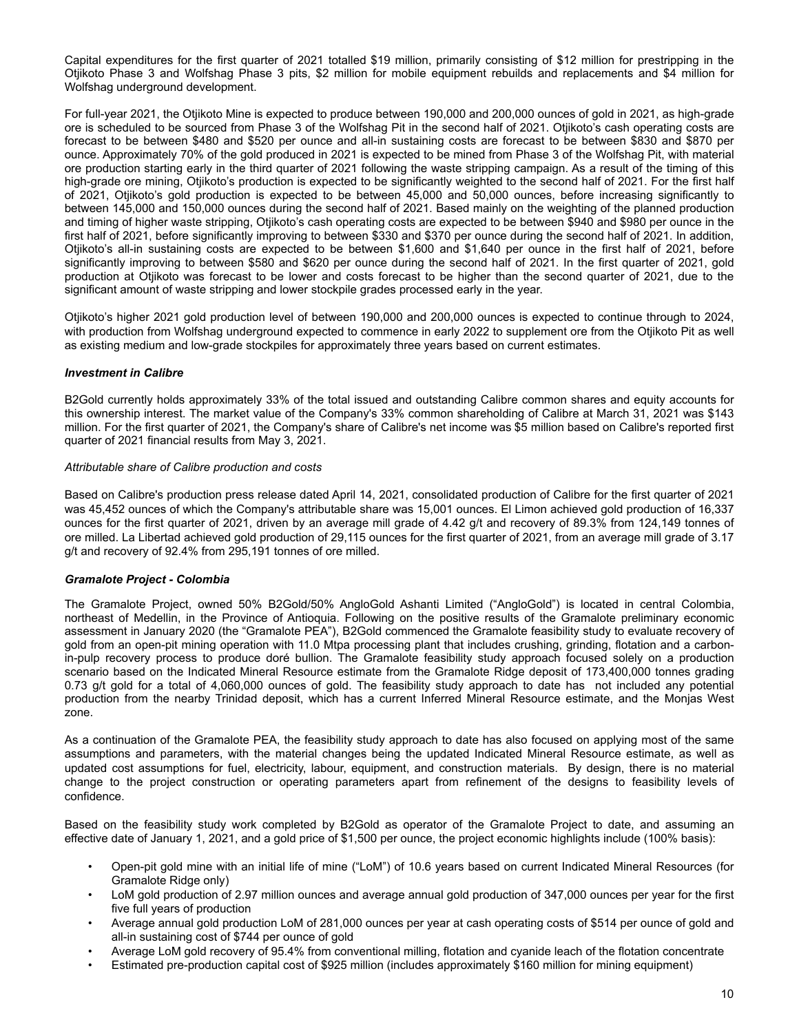Capital expenditures for the first quarter of 2021 totalled \$19 million, primarily consisting of \$12 million for prestripping in the Otjikoto Phase 3 and Wolfshag Phase 3 pits, \$2 million for mobile equipment rebuilds and replacements and \$4 million for Wolfshag underground development.

For full-year 2021, the Otjikoto Mine is expected to produce between 190,000 and 200,000 ounces of gold in 2021, as high-grade ore is scheduled to be sourced from Phase 3 of the Wolfshag Pit in the second half of 2021. Otjikoto's cash operating costs are forecast to be between \$480 and \$520 per ounce and all-in sustaining costs are forecast to be between \$830 and \$870 per ounce. Approximately 70% of the gold produced in 2021 is expected to be mined from Phase 3 of the Wolfshag Pit, with material ore production starting early in the third quarter of 2021 following the waste stripping campaign. As a result of the timing of this high-grade ore mining, Otjikoto's production is expected to be significantly weighted to the second half of 2021. For the first half of 2021, Otjikoto's gold production is expected to be between 45,000 and 50,000 ounces, before increasing significantly to between 145,000 and 150,000 ounces during the second half of 2021. Based mainly on the weighting of the planned production and timing of higher waste stripping, Otjikoto's cash operating costs are expected to be between \$940 and \$980 per ounce in the first half of 2021, before significantly improving to between \$330 and \$370 per ounce during the second half of 2021. In addition, Otjikoto's all-in sustaining costs are expected to be between \$1,600 and \$1,640 per ounce in the first half of 2021, before significantly improving to between \$580 and \$620 per ounce during the second half of 2021. In the first quarter of 2021, gold production at Otjikoto was forecast to be lower and costs forecast to be higher than the second quarter of 2021, due to the significant amount of waste stripping and lower stockpile grades processed early in the year.

Otjikoto's higher 2021 gold production level of between 190,000 and 200,000 ounces is expected to continue through to 2024, with production from Wolfshag underground expected to commence in early 2022 to supplement ore from the Otjikoto Pit as well as existing medium and low-grade stockpiles for approximately three years based on current estimates.

# *Investment in Calibre*

B2Gold currently holds approximately 33% of the total issued and outstanding Calibre common shares and equity accounts for this ownership interest. The market value of the Company's 33% common shareholding of Calibre at March 31, 2021 was \$143 million. For the first quarter of 2021, the Company's share of Calibre's net income was \$5 million based on Calibre's reported first quarter of 2021 financial results from May 3, 2021.

#### *Attributable share of Calibre production and costs*

Based on Calibre's production press release dated April 14, 2021, consolidated production of Calibre for the first quarter of 2021 was 45,452 ounces of which the Company's attributable share was 15,001 ounces. El Limon achieved gold production of 16,337 ounces for the first quarter of 2021, driven by an average mill grade of 4.42 g/t and recovery of 89.3% from 124,149 tonnes of ore milled. La Libertad achieved gold production of 29,115 ounces for the first quarter of 2021, from an average mill grade of 3.17 g/t and recovery of 92.4% from 295,191 tonnes of ore milled.

## *Gramalote Project - Colombia*

The Gramalote Project, owned 50% B2Gold/50% AngloGold Ashanti Limited ("AngloGold") is located in central Colombia, northeast of Medellin, in the Province of Antioquia. Following on the positive results of the Gramalote preliminary economic assessment in January 2020 (the "Gramalote PEA"), B2Gold commenced the Gramalote feasibility study to evaluate recovery of gold from an open-pit mining operation with 11.0 Mtpa processing plant that includes crushing, grinding, flotation and a carbonin-pulp recovery process to produce doré bullion. The Gramalote feasibility study approach focused solely on a production scenario based on the Indicated Mineral Resource estimate from the Gramalote Ridge deposit of 173,400,000 tonnes grading 0.73 g/t gold for a total of 4,060,000 ounces of gold. The feasibility study approach to date has not included any potential production from the nearby Trinidad deposit, which has a current Inferred Mineral Resource estimate, and the Monjas West zone.

As a continuation of the Gramalote PEA, the feasibility study approach to date has also focused on applying most of the same assumptions and parameters, with the material changes being the updated Indicated Mineral Resource estimate, as well as updated cost assumptions for fuel, electricity, labour, equipment, and construction materials. By design, there is no material change to the project construction or operating parameters apart from refinement of the designs to feasibility levels of confidence.

Based on the feasibility study work completed by B2Gold as operator of the Gramalote Project to date, and assuming an effective date of January 1, 2021, and a gold price of \$1,500 per ounce, the project economic highlights include (100% basis):

- Open-pit gold mine with an initial life of mine ("LoM") of 10.6 years based on current Indicated Mineral Resources (for Gramalote Ridge only)
- LoM gold production of 2.97 million ounces and average annual gold production of 347,000 ounces per year for the first five full years of production
- Average annual gold production LoM of 281,000 ounces per year at cash operating costs of \$514 per ounce of gold and all-in sustaining cost of \$744 per ounce of gold
- Average LoM gold recovery of 95.4% from conventional milling, flotation and cyanide leach of the flotation concentrate
- Estimated pre-production capital cost of \$925 million (includes approximately \$160 million for mining equipment)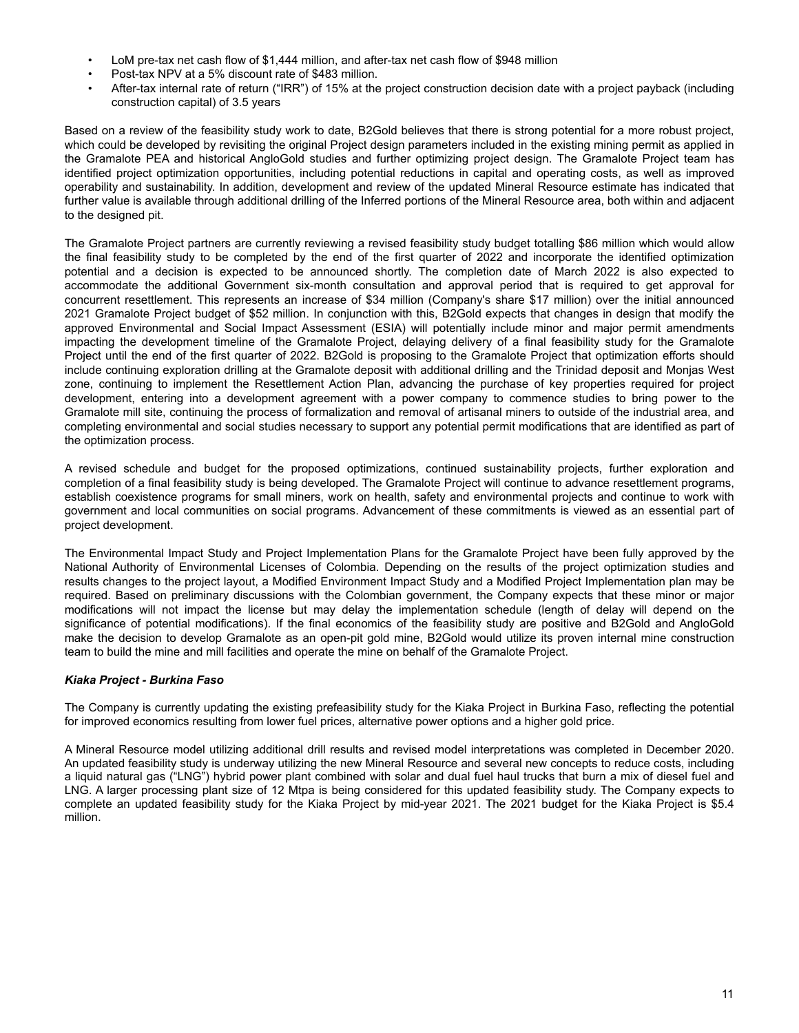- LoM pre-tax net cash flow of \$1,444 million, and after-tax net cash flow of \$948 million
- Post-tax NPV at a 5% discount rate of \$483 million.
- After-tax internal rate of return ("IRR") of 15% at the project construction decision date with a project payback (including construction capital) of 3.5 years

Based on a review of the feasibility study work to date, B2Gold believes that there is strong potential for a more robust project, which could be developed by revisiting the original Project design parameters included in the existing mining permit as applied in the Gramalote PEA and historical AngloGold studies and further optimizing project design. The Gramalote Project team has identified project optimization opportunities, including potential reductions in capital and operating costs, as well as improved operability and sustainability. In addition, development and review of the updated Mineral Resource estimate has indicated that further value is available through additional drilling of the Inferred portions of the Mineral Resource area, both within and adjacent to the designed pit.

The Gramalote Project partners are currently reviewing a revised feasibility study budget totalling \$86 million which would allow the final feasibility study to be completed by the end of the first quarter of 2022 and incorporate the identified optimization potential and a decision is expected to be announced shortly. The completion date of March 2022 is also expected to accommodate the additional Government six-month consultation and approval period that is required to get approval for concurrent resettlement. This represents an increase of \$34 million (Company's share \$17 million) over the initial announced 2021 Gramalote Project budget of \$52 million. In conjunction with this, B2Gold expects that changes in design that modify the approved Environmental and Social Impact Assessment (ESIA) will potentially include minor and major permit amendments impacting the development timeline of the Gramalote Project, delaying delivery of a final feasibility study for the Gramalote Project until the end of the first quarter of 2022. B2Gold is proposing to the Gramalote Project that optimization efforts should include continuing exploration drilling at the Gramalote deposit with additional drilling and the Trinidad deposit and Monjas West zone, continuing to implement the Resettlement Action Plan, advancing the purchase of key properties required for project development, entering into a development agreement with a power company to commence studies to bring power to the Gramalote mill site, continuing the process of formalization and removal of artisanal miners to outside of the industrial area, and completing environmental and social studies necessary to support any potential permit modifications that are identified as part of the optimization process.

A revised schedule and budget for the proposed optimizations, continued sustainability projects, further exploration and completion of a final feasibility study is being developed. The Gramalote Project will continue to advance resettlement programs, establish coexistence programs for small miners, work on health, safety and environmental projects and continue to work with government and local communities on social programs. Advancement of these commitments is viewed as an essential part of project development.

The Environmental Impact Study and Project Implementation Plans for the Gramalote Project have been fully approved by the National Authority of Environmental Licenses of Colombia. Depending on the results of the project optimization studies and results changes to the project layout, a Modified Environment Impact Study and a Modified Project Implementation plan may be required. Based on preliminary discussions with the Colombian government, the Company expects that these minor or major modifications will not impact the license but may delay the implementation schedule (length of delay will depend on the significance of potential modifications). If the final economics of the feasibility study are positive and B2Gold and AngloGold make the decision to develop Gramalote as an open-pit gold mine, B2Gold would utilize its proven internal mine construction team to build the mine and mill facilities and operate the mine on behalf of the Gramalote Project.

# *Kiaka Project - Burkina Faso*

The Company is currently updating the existing prefeasibility study for the Kiaka Project in Burkina Faso, reflecting the potential for improved economics resulting from lower fuel prices, alternative power options and a higher gold price.

A Mineral Resource model utilizing additional drill results and revised model interpretations was completed in December 2020. An updated feasibility study is underway utilizing the new Mineral Resource and several new concepts to reduce costs, including a liquid natural gas ("LNG") hybrid power plant combined with solar and dual fuel haul trucks that burn a mix of diesel fuel and LNG. A larger processing plant size of 12 Mtpa is being considered for this updated feasibility study. The Company expects to complete an updated feasibility study for the Kiaka Project by mid-year 2021. The 2021 budget for the Kiaka Project is \$5.4 million.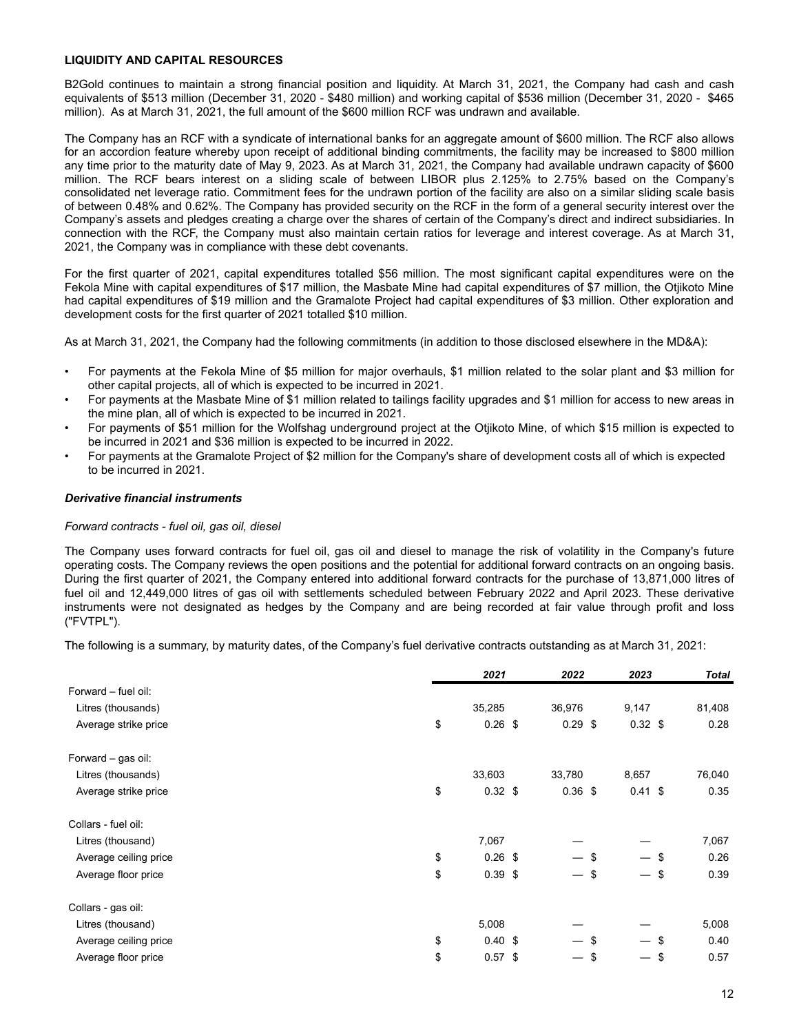# <span id="page-11-0"></span>**LIQUIDITY AND CAPITAL RESOURCES**

B2Gold continues to maintain a strong financial position and liquidity. At March 31, 2021, the Company had cash and cash equivalents of \$513 million (December 31, 2020 - \$480 million) and working capital of \$536 million (December 31, 2020 - \$465 million). As at March 31, 2021, the full amount of the \$600 million RCF was undrawn and available.

The Company has an RCF with a syndicate of international banks for an aggregate amount of \$600 million. The RCF also allows for an accordion feature whereby upon receipt of additional binding commitments, the facility may be increased to \$800 million any time prior to the maturity date of May 9, 2023. As at March 31, 2021, the Company had available undrawn capacity of \$600 million. The RCF bears interest on a sliding scale of between LIBOR plus 2.125% to 2.75% based on the Company's consolidated net leverage ratio. Commitment fees for the undrawn portion of the facility are also on a similar sliding scale basis of between 0.48% and 0.62%. The Company has provided security on the RCF in the form of a general security interest over the Company's assets and pledges creating a charge over the shares of certain of the Company's direct and indirect subsidiaries. In connection with the RCF, the Company must also maintain certain ratios for leverage and interest coverage. As at March 31, 2021, the Company was in compliance with these debt covenants.

For the first quarter of 2021, capital expenditures totalled \$56 million. The most significant capital expenditures were on the Fekola Mine with capital expenditures of \$17 million, the Masbate Mine had capital expenditures of \$7 million, the Otjikoto Mine had capital expenditures of \$19 million and the Gramalote Project had capital expenditures of \$3 million. Other exploration and development costs for the first quarter of 2021 totalled \$10 million.

As at March 31, 2021, the Company had the following commitments (in addition to those disclosed elsewhere in the MD&A):

- For payments at the Fekola Mine of \$5 million for major overhauls, \$1 million related to the solar plant and \$3 million for other capital projects, all of which is expected to be incurred in 2021.
- For payments at the Masbate Mine of \$1 million related to tailings facility upgrades and \$1 million for access to new areas in the mine plan, all of which is expected to be incurred in 2021.
- For payments of \$51 million for the Wolfshag underground project at the Otjikoto Mine, of which \$15 million is expected to be incurred in 2021 and \$36 million is expected to be incurred in 2022.
- For payments at the Gramalote Project of \$2 million for the Company's share of development costs all of which is expected to be incurred in 2021.

## *Derivative financial instruments*

#### *Forward contracts - fuel oil, gas oil, diesel*

The Company uses forward contracts for fuel oil, gas oil and diesel to manage the risk of volatility in the Company's future operating costs. The Company reviews the open positions and the potential for additional forward contracts on an ongoing basis. During the first quarter of 2021, the Company entered into additional forward contracts for the purchase of 13,871,000 litres of fuel oil and 12,449,000 litres of gas oil with settlements scheduled between February 2022 and April 2023. These derivative instruments were not designated as hedges by the Company and are being recorded at fair value through profit and loss ("FVTPL").

The following is a summary, by maturity dates, of the Company's fuel derivative contracts outstanding as at March 31, 2021:

|                       | 2021            | 2022                     | 2023   |           | <b>Total</b> |        |
|-----------------------|-----------------|--------------------------|--------|-----------|--------------|--------|
| Forward - fuel oil:   |                 |                          |        |           |              |        |
| Litres (thousands)    | 35,285          | 36,976                   |        | 9,147     |              | 81,408 |
| Average strike price  | \$<br>$0.26$ \$ | $0.29$ \$                |        | $0.32$ \$ |              | 0.28   |
| Forward - gas oil:    |                 |                          |        |           |              |        |
| Litres (thousands)    | 33,603          | 33,780                   |        | 8,657     |              | 76,040 |
| Average strike price  | \$<br>$0.32$ \$ | $0.36$ \$                |        | $0.41$ \$ |              | 0.35   |
| Collars - fuel oil:   |                 |                          |        |           |              |        |
| Litres (thousand)     | 7,067           |                          |        |           |              | 7,067  |
| Average ceiling price | \$<br>$0.26$ \$ |                          | $-$ \$ |           | - \$         | 0.26   |
| Average floor price   | \$<br>$0.39$ \$ | $\overline{\phantom{m}}$ | \$     |           | - \$         | 0.39   |
| Collars - gas oil:    |                 |                          |        |           |              |        |
| Litres (thousand)     | 5,008           |                          |        |           |              | 5,008  |
| Average ceiling price | \$<br>0.40~\$   |                          | \$     |           | -\$          | 0.40   |
| Average floor price   | \$<br>$0.57$ \$ |                          | \$     |           | \$           | 0.57   |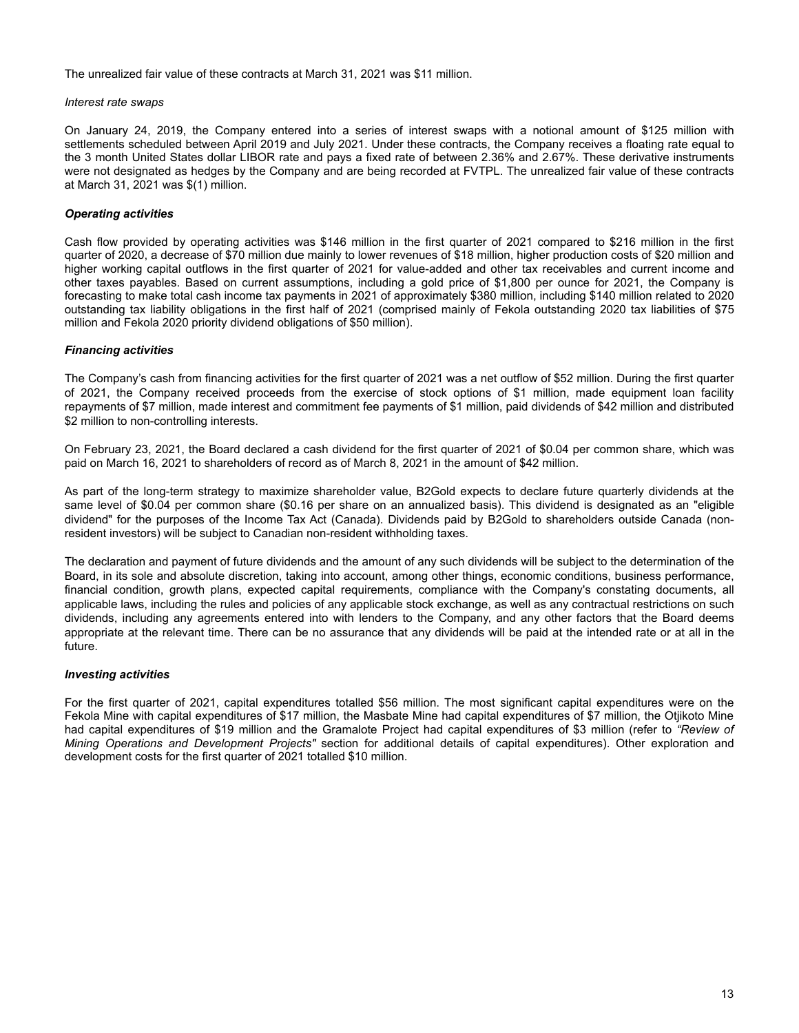The unrealized fair value of these contracts at March 31, 2021 was \$11 million.

#### *Interest rate swaps*

On January 24, 2019, the Company entered into a series of interest swaps with a notional amount of \$125 million with settlements scheduled between April 2019 and July 2021. Under these contracts, the Company receives a floating rate equal to the 3 month United States dollar LIBOR rate and pays a fixed rate of between 2.36% and 2.67%. These derivative instruments were not designated as hedges by the Company and are being recorded at FVTPL. The unrealized fair value of these contracts at March 31, 2021 was \$(1) million.

## *Operating activities*

Cash flow provided by operating activities was \$146 million in the first quarter of 2021 compared to \$216 million in the first quarter of 2020, a decrease of \$70 million due mainly to lower revenues of \$18 million, higher production costs of \$20 million and higher working capital outflows in the first quarter of 2021 for value-added and other tax receivables and current income and other taxes payables. Based on current assumptions, including a gold price of \$1,800 per ounce for 2021, the Company is forecasting to make total cash income tax payments in 2021 of approximately \$380 million, including \$140 million related to 2020 outstanding tax liability obligations in the first half of 2021 (comprised mainly of Fekola outstanding 2020 tax liabilities of \$75 million and Fekola 2020 priority dividend obligations of \$50 million).

# *Financing activities*

The Company's cash from financing activities for the first quarter of 2021 was a net outflow of \$52 million. During the first quarter of 2021, the Company received proceeds from the exercise of stock options of \$1 million, made equipment loan facility repayments of \$7 million, made interest and commitment fee payments of \$1 million, paid dividends of \$42 million and distributed \$2 million to non-controlling interests.

On February 23, 2021, the Board declared a cash dividend for the first quarter of 2021 of \$0.04 per common share, which was paid on March 16, 2021 to shareholders of record as of March 8, 2021 in the amount of \$42 million.

As part of the long-term strategy to maximize shareholder value, B2Gold expects to declare future quarterly dividends at the same level of \$0.04 per common share (\$0.16 per share on an annualized basis). This dividend is designated as an "eligible dividend" for the purposes of the Income Tax Act (Canada). Dividends paid by B2Gold to shareholders outside Canada (nonresident investors) will be subject to Canadian non-resident withholding taxes.

The declaration and payment of future dividends and the amount of any such dividends will be subject to the determination of the Board, in its sole and absolute discretion, taking into account, among other things, economic conditions, business performance, financial condition, growth plans, expected capital requirements, compliance with the Company's constating documents, all applicable laws, including the rules and policies of any applicable stock exchange, as well as any contractual restrictions on such dividends, including any agreements entered into with lenders to the Company, and any other factors that the Board deems appropriate at the relevant time. There can be no assurance that any dividends will be paid at the intended rate or at all in the future.

## *Investing activities*

For the first quarter of 2021, capital expenditures totalled \$56 million. The most significant capital expenditures were on the Fekola Mine with capital expenditures of \$17 million, the Masbate Mine had capital expenditures of \$7 million, the Otjikoto Mine had capital expenditures of \$19 million and the Gramalote Project had capital expenditures of \$3 million (refer to *"Review of Mining Operations and Development Projects"* section for additional details of capital expenditures). Other exploration and development costs for the first quarter of 2021 totalled \$10 million.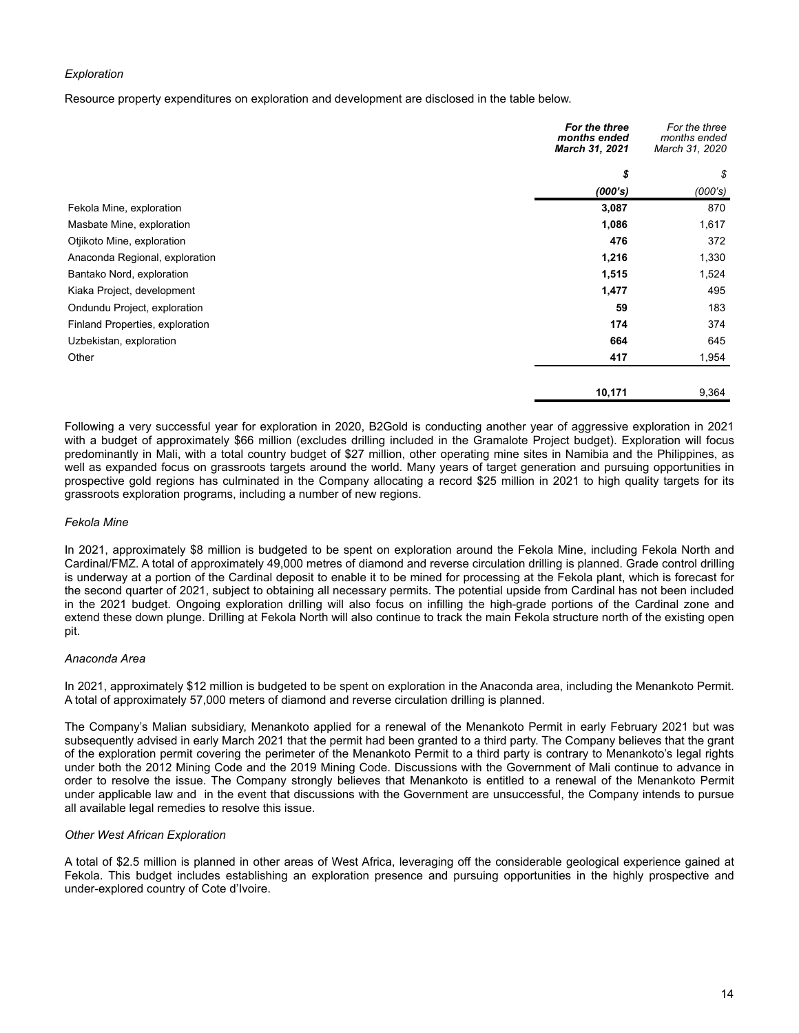## *Exploration*

Resource property expenditures on exploration and development are disclosed in the table below.

|                                 | For the three<br>months ended<br>March 31, 2021 | For the three<br>months ended<br>March 31, 2020 |
|---------------------------------|-------------------------------------------------|-------------------------------------------------|
|                                 | \$                                              | \$                                              |
|                                 | (000's)                                         | (000's)                                         |
| Fekola Mine, exploration        | 3,087                                           | 870                                             |
| Masbate Mine, exploration       | 1,086                                           | 1,617                                           |
| Otjikoto Mine, exploration      | 476                                             | 372                                             |
| Anaconda Regional, exploration  | 1,216                                           | 1,330                                           |
| Bantako Nord, exploration       | 1,515                                           | 1,524                                           |
| Kiaka Project, development      | 1,477                                           | 495                                             |
| Ondundu Project, exploration    | 59                                              | 183                                             |
| Finland Properties, exploration | 174                                             | 374                                             |
| Uzbekistan, exploration         | 664                                             | 645                                             |
| Other                           | 417                                             | 1,954                                           |
|                                 | 10,171                                          | 9,364                                           |

Following a very successful year for exploration in 2020, B2Gold is conducting another year of aggressive exploration in 2021 with a budget of approximately \$66 million (excludes drilling included in the Gramalote Project budget). Exploration will focus predominantly in Mali, with a total country budget of \$27 million, other operating mine sites in Namibia and the Philippines, as well as expanded focus on grassroots targets around the world. Many years of target generation and pursuing opportunities in prospective gold regions has culminated in the Company allocating a record \$25 million in 2021 to high quality targets for its grassroots exploration programs, including a number of new regions.

## *Fekola Mine*

In 2021, approximately \$8 million is budgeted to be spent on exploration around the Fekola Mine, including Fekola North and Cardinal/FMZ. A total of approximately 49,000 metres of diamond and reverse circulation drilling is planned. Grade control drilling is underway at a portion of the Cardinal deposit to enable it to be mined for processing at the Fekola plant, which is forecast for the second quarter of 2021, subject to obtaining all necessary permits. The potential upside from Cardinal has not been included in the 2021 budget. Ongoing exploration drilling will also focus on infilling the high-grade portions of the Cardinal zone and extend these down plunge. Drilling at Fekola North will also continue to track the main Fekola structure north of the existing open pit.

#### *Anaconda Area*

In 2021, approximately \$12 million is budgeted to be spent on exploration in the Anaconda area, including the Menankoto Permit. A total of approximately 57,000 meters of diamond and reverse circulation drilling is planned.

The Company's Malian subsidiary, Menankoto applied for a renewal of the Menankoto Permit in early February 2021 but was subsequently advised in early March 2021 that the permit had been granted to a third party. The Company believes that the grant of the exploration permit covering the perimeter of the Menankoto Permit to a third party is contrary to Menankoto's legal rights under both the 2012 Mining Code and the 2019 Mining Code. Discussions with the Government of Mali continue to advance in order to resolve the issue. The Company strongly believes that Menankoto is entitled to a renewal of the Menankoto Permit under applicable law and in the event that discussions with the Government are unsuccessful, the Company intends to pursue all available legal remedies to resolve this issue.

## *Other West African Exploration*

A total of \$2.5 million is planned in other areas of West Africa, leveraging off the considerable geological experience gained at Fekola. This budget includes establishing an exploration presence and pursuing opportunities in the highly prospective and under-explored country of Cote d'Ivoire.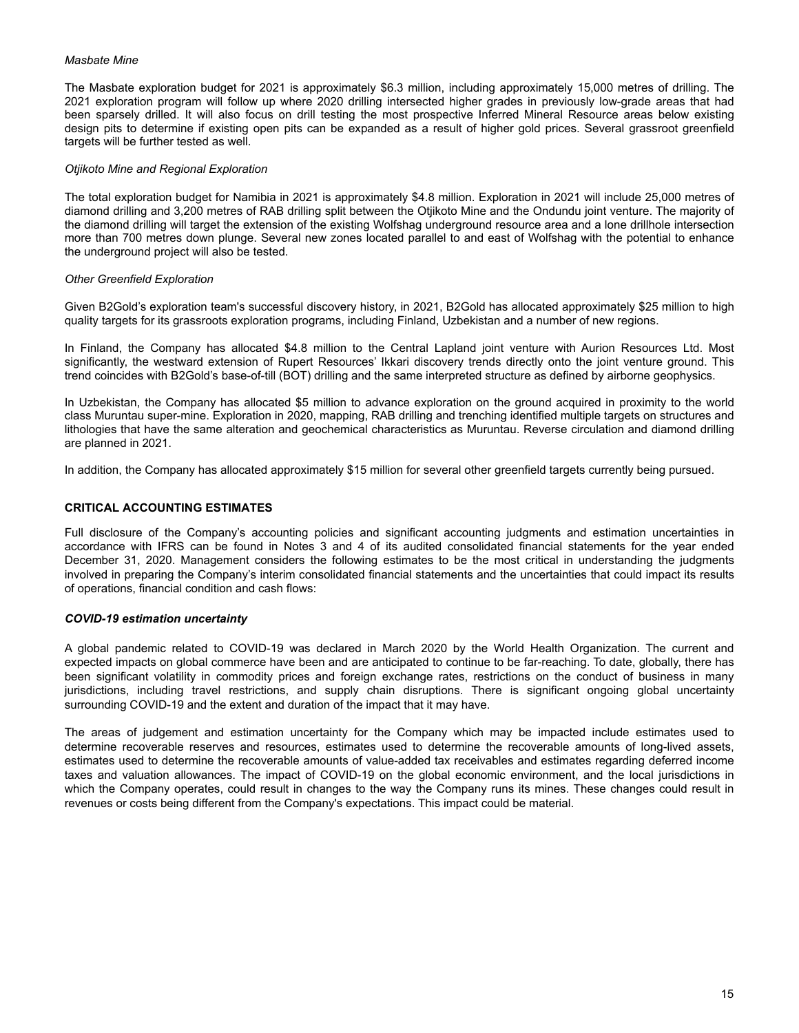#### <span id="page-14-0"></span>*Masbate Mine*

The Masbate exploration budget for 2021 is approximately \$6.3 million, including approximately 15,000 metres of drilling. The 2021 exploration program will follow up where 2020 drilling intersected higher grades in previously low-grade areas that had been sparsely drilled. It will also focus on drill testing the most prospective Inferred Mineral Resource areas below existing design pits to determine if existing open pits can be expanded as a result of higher gold prices. Several grassroot greenfield targets will be further tested as well.

#### *Otjikoto Mine and Regional Exploration*

The total exploration budget for Namibia in 2021 is approximately \$4.8 million. Exploration in 2021 will include 25,000 metres of diamond drilling and 3,200 metres of RAB drilling split between the Otjikoto Mine and the Ondundu joint venture. The majority of the diamond drilling will target the extension of the existing Wolfshag underground resource area and a lone drillhole intersection more than 700 metres down plunge. Several new zones located parallel to and east of Wolfshag with the potential to enhance the underground project will also be tested.

#### *Other Greenfield Exploration*

Given B2Gold's exploration team's successful discovery history, in 2021, B2Gold has allocated approximately \$25 million to high quality targets for its grassroots exploration programs, including Finland, Uzbekistan and a number of new regions.

In Finland, the Company has allocated \$4.8 million to the Central Lapland joint venture with Aurion Resources Ltd. Most significantly, the westward extension of Rupert Resources' Ikkari discovery trends directly onto the joint venture ground. This trend coincides with B2Gold's base-of-till (BOT) drilling and the same interpreted structure as defined by airborne geophysics.

In Uzbekistan, the Company has allocated \$5 million to advance exploration on the ground acquired in proximity to the world class Muruntau super-mine. Exploration in 2020, mapping, RAB drilling and trenching identified multiple targets on structures and lithologies that have the same alteration and geochemical characteristics as Muruntau. Reverse circulation and diamond drilling are planned in 2021.

In addition, the Company has allocated approximately \$15 million for several other greenfield targets currently being pursued.

## **CRITICAL ACCOUNTING ESTIMATES**

Full disclosure of the Company's accounting policies and significant accounting judgments and estimation uncertainties in accordance with IFRS can be found in Notes 3 and 4 of its audited consolidated financial statements for the year ended December 31, 2020. Management considers the following estimates to be the most critical in understanding the judgments involved in preparing the Company's interim consolidated financial statements and the uncertainties that could impact its results of operations, financial condition and cash flows:

## *COVID-19 estimation uncertainty*

A global pandemic related to COVID-19 was declared in March 2020 by the World Health Organization. The current and expected impacts on global commerce have been and are anticipated to continue to be far-reaching. To date, globally, there has been significant volatility in commodity prices and foreign exchange rates, restrictions on the conduct of business in many jurisdictions, including travel restrictions, and supply chain disruptions. There is significant ongoing global uncertainty surrounding COVID-19 and the extent and duration of the impact that it may have.

The areas of judgement and estimation uncertainty for the Company which may be impacted include estimates used to determine recoverable reserves and resources, estimates used to determine the recoverable amounts of long-lived assets, estimates used to determine the recoverable amounts of value-added tax receivables and estimates regarding deferred income taxes and valuation allowances. The impact of COVID-19 on the global economic environment, and the local jurisdictions in which the Company operates, could result in changes to the way the Company runs its mines. These changes could result in revenues or costs being different from the Company's expectations. This impact could be material.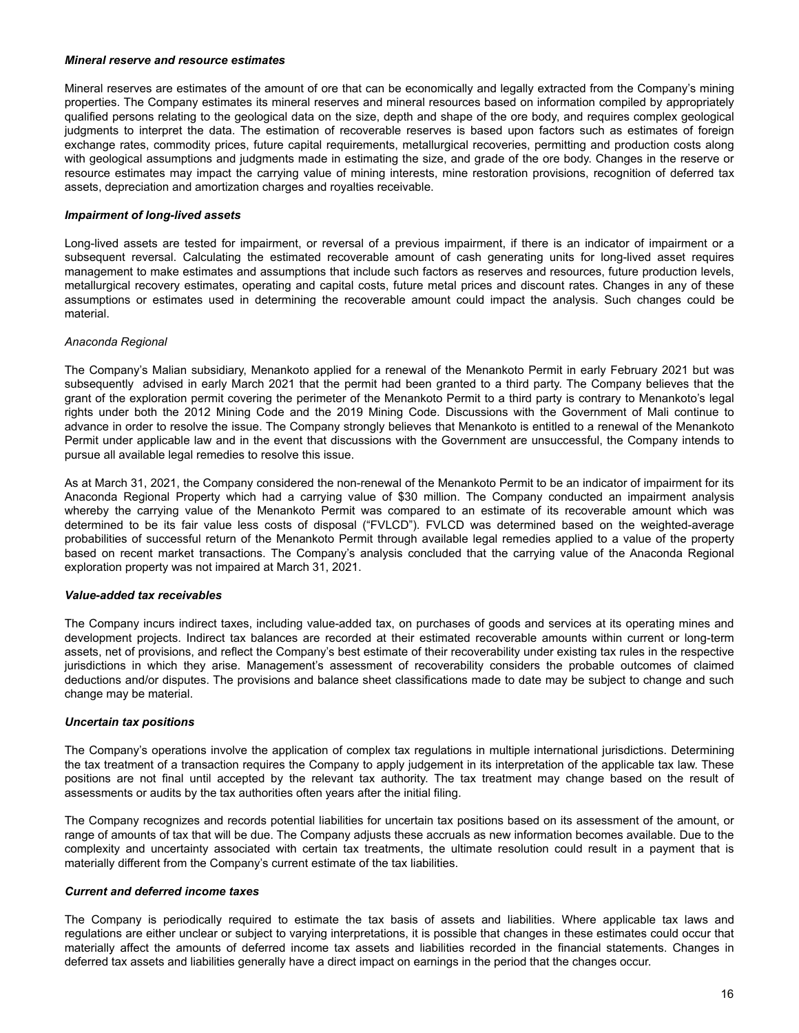#### *Mineral reserve and resource estimates*

Mineral reserves are estimates of the amount of ore that can be economically and legally extracted from the Company's mining properties. The Company estimates its mineral reserves and mineral resources based on information compiled by appropriately qualified persons relating to the geological data on the size, depth and shape of the ore body, and requires complex geological judgments to interpret the data. The estimation of recoverable reserves is based upon factors such as estimates of foreign exchange rates, commodity prices, future capital requirements, metallurgical recoveries, permitting and production costs along with geological assumptions and judgments made in estimating the size, and grade of the ore body. Changes in the reserve or resource estimates may impact the carrying value of mining interests, mine restoration provisions, recognition of deferred tax assets, depreciation and amortization charges and royalties receivable.

#### *Impairment of long-lived assets*

Long-lived assets are tested for impairment, or reversal of a previous impairment, if there is an indicator of impairment or a subsequent reversal. Calculating the estimated recoverable amount of cash generating units for long-lived asset requires management to make estimates and assumptions that include such factors as reserves and resources, future production levels, metallurgical recovery estimates, operating and capital costs, future metal prices and discount rates. Changes in any of these assumptions or estimates used in determining the recoverable amount could impact the analysis. Such changes could be material.

#### *Anaconda Regional*

The Company's Malian subsidiary, Menankoto applied for a renewal of the Menankoto Permit in early February 2021 but was subsequently advised in early March 2021 that the permit had been granted to a third party. The Company believes that the grant of the exploration permit covering the perimeter of the Menankoto Permit to a third party is contrary to Menankoto's legal rights under both the 2012 Mining Code and the 2019 Mining Code. Discussions with the Government of Mali continue to advance in order to resolve the issue. The Company strongly believes that Menankoto is entitled to a renewal of the Menankoto Permit under applicable law and in the event that discussions with the Government are unsuccessful, the Company intends to pursue all available legal remedies to resolve this issue.

As at March 31, 2021, the Company considered the non-renewal of the Menankoto Permit to be an indicator of impairment for its Anaconda Regional Property which had a carrying value of \$30 million. The Company conducted an impairment analysis whereby the carrying value of the Menankoto Permit was compared to an estimate of its recoverable amount which was determined to be its fair value less costs of disposal ("FVLCD"). FVLCD was determined based on the weighted-average probabilities of successful return of the Menankoto Permit through available legal remedies applied to a value of the property based on recent market transactions. The Company's analysis concluded that the carrying value of the Anaconda Regional exploration property was not impaired at March 31, 2021.

## *Value-added tax receivables*

The Company incurs indirect taxes, including value-added tax, on purchases of goods and services at its operating mines and development projects. Indirect tax balances are recorded at their estimated recoverable amounts within current or long-term assets, net of provisions, and reflect the Company's best estimate of their recoverability under existing tax rules in the respective jurisdictions in which they arise. Management's assessment of recoverability considers the probable outcomes of claimed deductions and/or disputes. The provisions and balance sheet classifications made to date may be subject to change and such change may be material.

## *Uncertain tax positions*

The Company's operations involve the application of complex tax regulations in multiple international jurisdictions. Determining the tax treatment of a transaction requires the Company to apply judgement in its interpretation of the applicable tax law. These positions are not final until accepted by the relevant tax authority. The tax treatment may change based on the result of assessments or audits by the tax authorities often years after the initial filing.

The Company recognizes and records potential liabilities for uncertain tax positions based on its assessment of the amount, or range of amounts of tax that will be due. The Company adjusts these accruals as new information becomes available. Due to the complexity and uncertainty associated with certain tax treatments, the ultimate resolution could result in a payment that is materially different from the Company's current estimate of the tax liabilities.

#### *Current and deferred income taxes*

The Company is periodically required to estimate the tax basis of assets and liabilities. Where applicable tax laws and regulations are either unclear or subject to varying interpretations, it is possible that changes in these estimates could occur that materially affect the amounts of deferred income tax assets and liabilities recorded in the financial statements. Changes in deferred tax assets and liabilities generally have a direct impact on earnings in the period that the changes occur.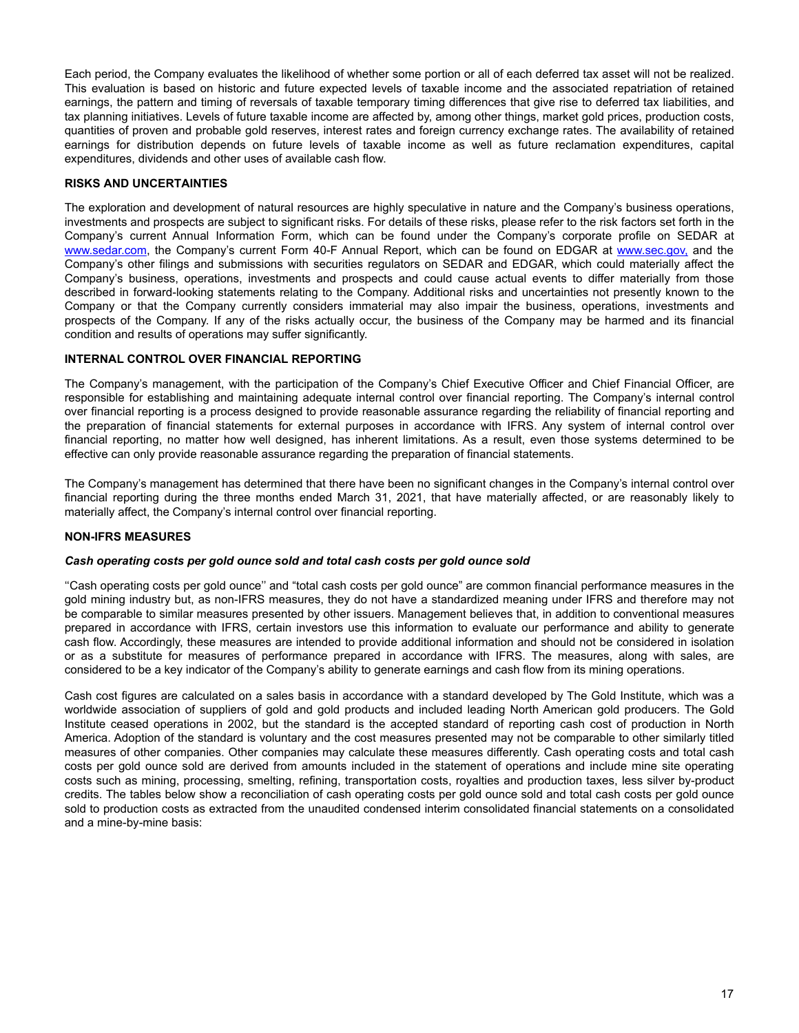<span id="page-16-0"></span>Each period, the Company evaluates the likelihood of whether some portion or all of each deferred tax asset will not be realized. This evaluation is based on historic and future expected levels of taxable income and the associated repatriation of retained earnings, the pattern and timing of reversals of taxable temporary timing differences that give rise to deferred tax liabilities, and tax planning initiatives. Levels of future taxable income are affected by, among other things, market gold prices, production costs, quantities of proven and probable gold reserves, interest rates and foreign currency exchange rates. The availability of retained earnings for distribution depends on future levels of taxable income as well as future reclamation expenditures, capital expenditures, dividends and other uses of available cash flow.

# **RISKS AND UNCERTAINTIES**

The exploration and development of natural resources are highly speculative in nature and the Company's business operations, investments and prospects are subject to significant risks. For details of these risks, please refer to the risk factors set forth in the Company's current Annual Information Form, which can be found under the Company's corporate profile on SEDAR at www.sedar.com, the Company's current Form 40-F Annual Report, which can be found on EDGAR at www.sec.gov, and the Company's other filings and submissions with securities regulators on SEDAR and EDGAR, which could materially affect the Company's business, operations, investments and prospects and could cause actual events to differ materially from those described in forward-looking statements relating to the Company. Additional risks and uncertainties not presently known to the Company or that the Company currently considers immaterial may also impair the business, operations, investments and prospects of the Company. If any of the risks actually occur, the business of the Company may be harmed and its financial condition and results of operations may suffer significantly.

# **INTERNAL CONTROL OVER FINANCIAL REPORTING**

The Company's management, with the participation of the Company's Chief Executive Officer and Chief Financial Officer, are responsible for establishing and maintaining adequate internal control over financial reporting. The Company's internal control over financial reporting is a process designed to provide reasonable assurance regarding the reliability of financial reporting and the preparation of financial statements for external purposes in accordance with IFRS. Any system of internal control over financial reporting, no matter how well designed, has inherent limitations. As a result, even those systems determined to be effective can only provide reasonable assurance regarding the preparation of financial statements.

The Company's management has determined that there have been no significant changes in the Company's internal control over financial reporting during the three months ended March 31, 2021, that have materially affected, or are reasonably likely to materially affect, the Company's internal control over financial reporting.

# **NON-IFRS MEASURES**

## *Cash operating costs per gold ounce sold and total cash costs per gold ounce sold*

''Cash operating costs per gold ounce'' and "total cash costs per gold ounce" are common financial performance measures in the gold mining industry but, as non-IFRS measures, they do not have a standardized meaning under IFRS and therefore may not be comparable to similar measures presented by other issuers. Management believes that, in addition to conventional measures prepared in accordance with IFRS, certain investors use this information to evaluate our performance and ability to generate cash flow. Accordingly, these measures are intended to provide additional information and should not be considered in isolation or as a substitute for measures of performance prepared in accordance with IFRS. The measures, along with sales, are considered to be a key indicator of the Company's ability to generate earnings and cash flow from its mining operations.

Cash cost figures are calculated on a sales basis in accordance with a standard developed by The Gold Institute, which was a worldwide association of suppliers of gold and gold products and included leading North American gold producers. The Gold Institute ceased operations in 2002, but the standard is the accepted standard of reporting cash cost of production in North America. Adoption of the standard is voluntary and the cost measures presented may not be comparable to other similarly titled measures of other companies. Other companies may calculate these measures differently. Cash operating costs and total cash costs per gold ounce sold are derived from amounts included in the statement of operations and include mine site operating costs such as mining, processing, smelting, refining, transportation costs, royalties and production taxes, less silver by-product credits. The tables below show a reconciliation of cash operating costs per gold ounce sold and total cash costs per gold ounce sold to production costs as extracted from the unaudited condensed interim consolidated financial statements on a consolidated and a mine-by-mine basis: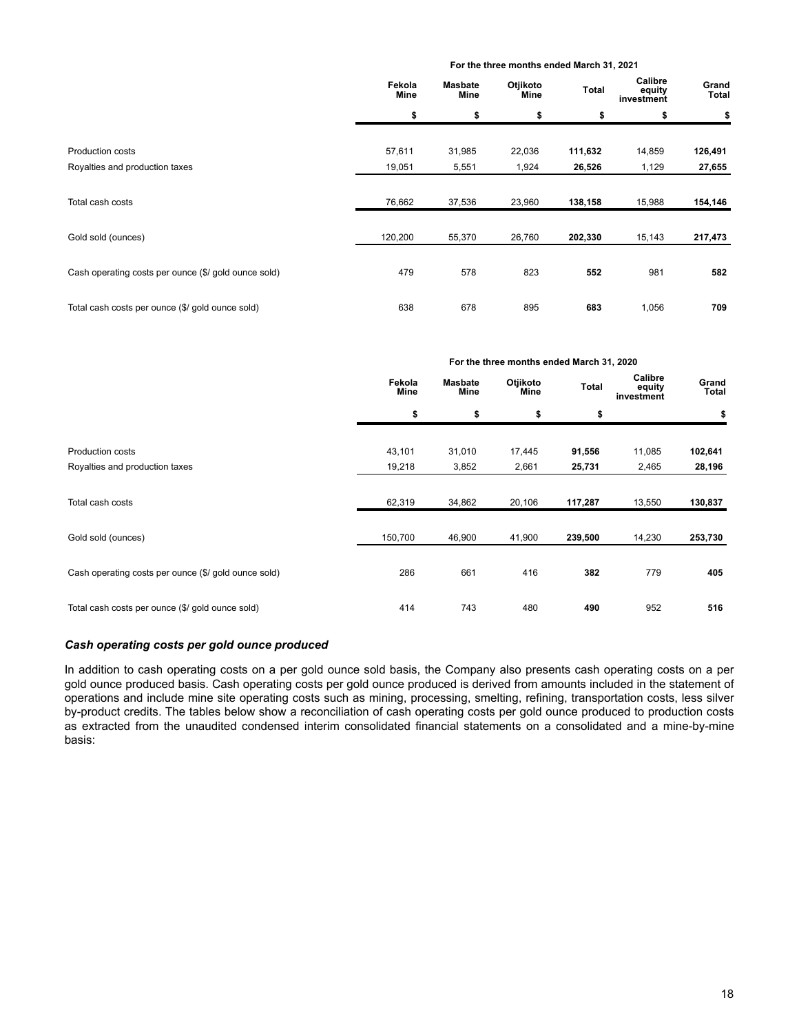**For the three months ended March 31, 2021**

|                                                      | Fekola<br>Mine | <b>Masbate</b><br>Mine | Otjikoto<br>Mine | Total   | Calibre<br>equity<br>investment | Grand<br>Total |
|------------------------------------------------------|----------------|------------------------|------------------|---------|---------------------------------|----------------|
|                                                      | \$             | \$                     | \$               | \$      | \$                              | \$             |
|                                                      |                |                        |                  |         |                                 |                |
| <b>Production costs</b>                              | 57,611         | 31,985                 | 22,036           | 111,632 | 14,859                          | 126,491        |
| Royalties and production taxes                       | 19,051         | 5,551                  | 1,924            | 26,526  | 1,129                           | 27,655         |
| Total cash costs                                     | 76,662         | 37,536                 | 23,960           | 138,158 | 15,988                          | 154,146        |
|                                                      |                |                        |                  |         |                                 |                |
| Gold sold (ounces)                                   | 120,200        | 55,370                 | 26,760           | 202,330 | 15,143                          | 217,473        |
|                                                      |                |                        |                  |         |                                 |                |
| Cash operating costs per ounce (\$/ gold ounce sold) | 479            | 578                    | 823              | 552     | 981                             | 582            |
|                                                      | 638            | 678                    | 895              | 683     | 1,056                           | 709            |
| Total cash costs per ounce (\$/ gold ounce sold)     |                |                        |                  |         |                                 |                |

|                                                      | For the three months ended March 31, 2020 |                        |                  |         |                                 |                       |
|------------------------------------------------------|-------------------------------------------|------------------------|------------------|---------|---------------------------------|-----------------------|
|                                                      | Fekola<br><b>Mine</b>                     | <b>Masbate</b><br>Mine | Otjikoto<br>Mine | Total   | Calibre<br>equity<br>investment | Grand<br><b>Total</b> |
|                                                      | \$                                        | \$                     | \$               | \$      |                                 | \$                    |
| <b>Production costs</b>                              | 43,101                                    | 31,010                 | 17,445           | 91,556  | 11,085                          | 102,641               |
| Royalties and production taxes                       | 19,218                                    | 3,852                  | 2,661            | 25,731  | 2,465                           | 28,196                |
| Total cash costs                                     | 62,319                                    | 34,862                 | 20,106           | 117,287 | 13,550                          | 130,837               |
| Gold sold (ounces)                                   | 150,700                                   | 46,900                 | 41,900           | 239,500 | 14,230                          | 253,730               |
| Cash operating costs per ounce (\$/ gold ounce sold) | 286                                       | 661                    | 416              | 382     | 779                             | 405                   |
| Total cash costs per ounce (\$/ gold ounce sold)     | 414                                       | 743                    | 480              | 490     | 952                             | 516                   |

# *Cash operating costs per gold ounce produced*

In addition to cash operating costs on a per gold ounce sold basis, the Company also presents cash operating costs on a per gold ounce produced basis. Cash operating costs per gold ounce produced is derived from amounts included in the statement of operations and include mine site operating costs such as mining, processing, smelting, refining, transportation costs, less silver by-product credits. The tables below show a reconciliation of cash operating costs per gold ounce produced to production costs as extracted from the unaudited condensed interim consolidated financial statements on a consolidated and a mine-by-mine basis: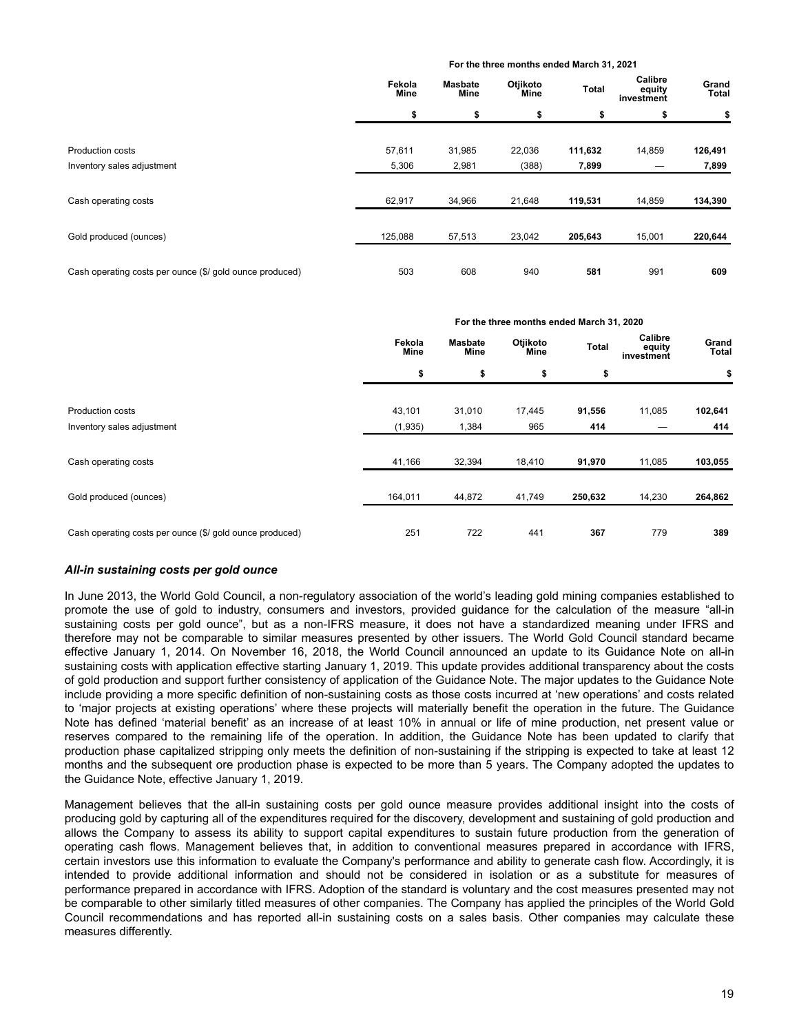|                                                          | Fekola<br><b>Mine</b> | Otjikoto<br><b>Masbate</b><br>Mine<br>Mine |        | Total   | Calibre<br>equity<br>investment | Grand<br><b>Total</b> |
|----------------------------------------------------------|-----------------------|--------------------------------------------|--------|---------|---------------------------------|-----------------------|
|                                                          | \$                    | \$                                         | \$     | \$      | \$                              | \$                    |
| Production costs                                         | 57,611                | 31,985                                     | 22,036 | 111,632 | 14,859                          | 126,491               |
| Inventory sales adjustment                               | 5,306                 | 2,981                                      | (388)  | 7,899   |                                 | 7,899                 |
|                                                          |                       |                                            |        |         |                                 |                       |
| Cash operating costs                                     | 62,917                | 34,966                                     | 21,648 | 119,531 | 14,859                          | 134,390               |
| Gold produced (ounces)                                   | 125,088               | 57,513                                     | 23,042 | 205,643 | 15,001                          | 220,644               |
|                                                          |                       |                                            |        |         |                                 |                       |
| Cash operating costs per ounce (\$/ gold ounce produced) | 503                   | 608                                        | 940    | 581     | 991                             | 609                   |

#### **For the three months ended March 31, 2020**

**For the three months ended March 31, 2021**

|                                                          | Fekola<br>Mine | <b>Masbate</b><br>Mine | Otjikoto<br>Mine | Total   | Calibre<br>equity<br>investment | Grand<br>Total |
|----------------------------------------------------------|----------------|------------------------|------------------|---------|---------------------------------|----------------|
|                                                          | \$             | \$                     | \$               | \$      |                                 | \$             |
| Production costs                                         | 43,101         | 31,010                 | 17,445           | 91,556  | 11,085                          | 102,641        |
| Inventory sales adjustment                               | (1,935)        | 1,384                  | 965              | 414     |                                 | 414            |
| Cash operating costs                                     | 41,166         | 32,394                 | 18,410           | 91,970  | 11,085                          | 103,055        |
| Gold produced (ounces)                                   | 164,011        | 44,872                 | 41,749           | 250,632 | 14,230                          | 264,862        |
| Cash operating costs per ounce (\$/ gold ounce produced) | 251            | 722                    | 441              | 367     | 779                             | 389            |

#### *All-in sustaining costs per gold ounce*

In June 2013, the World Gold Council, a non-regulatory association of the world's leading gold mining companies established to promote the use of gold to industry, consumers and investors, provided guidance for the calculation of the measure "all-in sustaining costs per gold ounce", but as a non-IFRS measure, it does not have a standardized meaning under IFRS and therefore may not be comparable to similar measures presented by other issuers. The World Gold Council standard became effective January 1, 2014. On November 16, 2018, the World Council announced an update to its Guidance Note on all-in sustaining costs with application effective starting January 1, 2019. This update provides additional transparency about the costs of gold production and support further consistency of application of the Guidance Note. The major updates to the Guidance Note include providing a more specific definition of non-sustaining costs as those costs incurred at 'new operations' and costs related to 'major projects at existing operations' where these projects will materially benefit the operation in the future. The Guidance Note has defined 'material benefit' as an increase of at least 10% in annual or life of mine production, net present value or reserves compared to the remaining life of the operation. In addition, the Guidance Note has been updated to clarify that production phase capitalized stripping only meets the definition of non-sustaining if the stripping is expected to take at least 12 months and the subsequent ore production phase is expected to be more than 5 years. The Company adopted the updates to the Guidance Note, effective January 1, 2019.

Management believes that the all-in sustaining costs per gold ounce measure provides additional insight into the costs of producing gold by capturing all of the expenditures required for the discovery, development and sustaining of gold production and allows the Company to assess its ability to support capital expenditures to sustain future production from the generation of operating cash flows. Management believes that, in addition to conventional measures prepared in accordance with IFRS, certain investors use this information to evaluate the Company's performance and ability to generate cash flow. Accordingly, it is intended to provide additional information and should not be considered in isolation or as a substitute for measures of performance prepared in accordance with IFRS. Adoption of the standard is voluntary and the cost measures presented may not be comparable to other similarly titled measures of other companies. The Company has applied the principles of the World Gold Council recommendations and has reported all-in sustaining costs on a sales basis. Other companies may calculate these measures differently.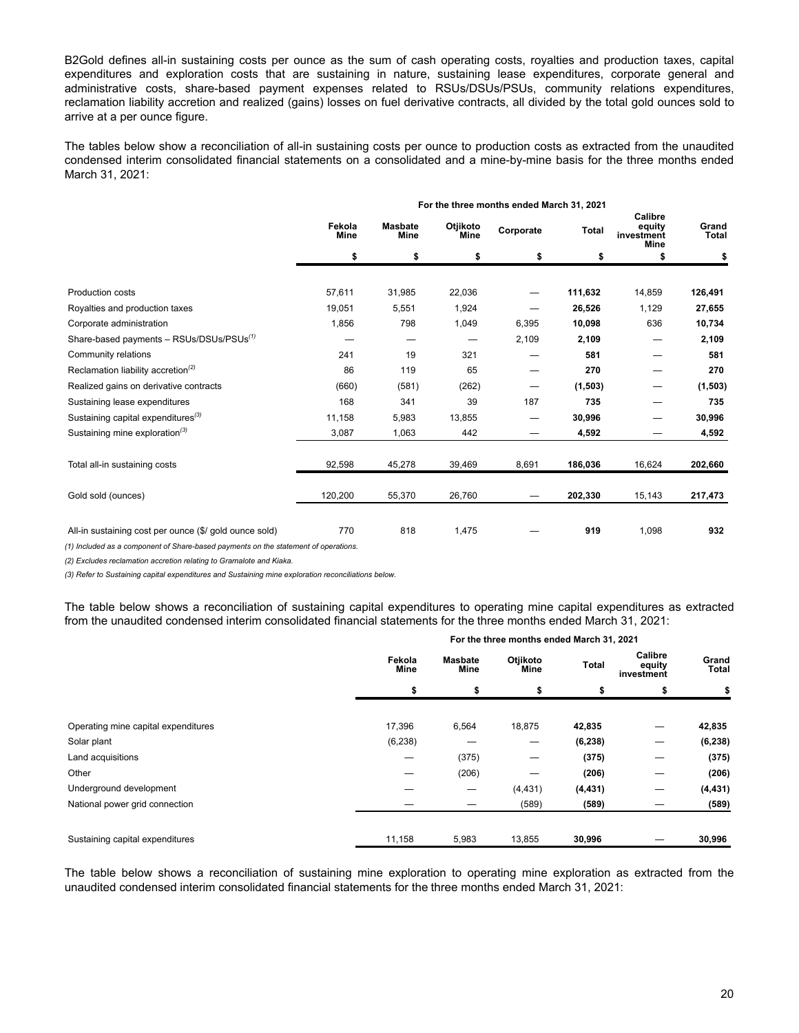B2Gold defines all-in sustaining costs per ounce as the sum of cash operating costs, royalties and production taxes, capital expenditures and exploration costs that are sustaining in nature, sustaining lease expenditures, corporate general and administrative costs, share-based payment expenses related to RSUs/DSUs/PSUs, community relations expenditures, reclamation liability accretion and realized (gains) losses on fuel derivative contracts, all divided by the total gold ounces sold to arrive at a per ounce figure.

The tables below show a reconciliation of all-in sustaining costs per ounce to production costs as extracted from the unaudited condensed interim consolidated financial statements on a consolidated and a mine-by-mine basis for the three months ended March 31, 2021:

|                                                        | For the three months ended March 31, 2021 |                               |                  |           |          |                                                |                       |
|--------------------------------------------------------|-------------------------------------------|-------------------------------|------------------|-----------|----------|------------------------------------------------|-----------------------|
|                                                        | Fekola<br><b>Mine</b>                     | <b>Masbate</b><br><b>Mine</b> | Otjikoto<br>Mine | Corporate | Total    | Calibre<br>equity<br>investment<br><b>Mine</b> | Grand<br><b>Total</b> |
|                                                        | \$                                        | \$                            | \$               | \$        | \$       | \$                                             | \$                    |
|                                                        |                                           |                               |                  |           |          |                                                |                       |
| <b>Production costs</b>                                | 57,611                                    | 31,985                        | 22,036           |           | 111,632  | 14,859                                         | 126,491               |
| Royalties and production taxes                         | 19,051                                    | 5,551                         | 1,924            |           | 26,526   | 1,129                                          | 27,655                |
| Corporate administration                               | 1,856                                     | 798                           | 1,049            | 6,395     | 10,098   | 636                                            | 10,734                |
| Share-based payments - RSUs/DSUs/PSUs <sup>(1)</sup>   |                                           |                               |                  | 2,109     | 2,109    |                                                | 2,109                 |
| Community relations                                    | 241                                       | 19                            | 321              |           | 581      |                                                | 581                   |
| Reclamation liability accretion <sup>(2)</sup>         | 86                                        | 119                           | 65               |           | 270      |                                                | 270                   |
| Realized gains on derivative contracts                 | (660)                                     | (581)                         | (262)            |           | (1, 503) |                                                | (1, 503)              |
| Sustaining lease expenditures                          | 168                                       | 341                           | 39               | 187       | 735      |                                                | 735                   |
| Sustaining capital expenditures <sup>(3)</sup>         | 11,158                                    | 5,983                         | 13,855           |           | 30,996   |                                                | 30,996                |
| Sustaining mine exploration $(3)$                      | 3,087                                     | 1,063                         | 442              |           | 4,592    |                                                | 4,592                 |
| Total all-in sustaining costs                          | 92,598                                    | 45,278                        | 39,469           | 8,691     | 186,036  | 16,624                                         | 202,660               |
| Gold sold (ounces)                                     | 120,200                                   | 55,370                        | 26,760           |           | 202,330  | 15,143                                         | 217,473               |
| All-in sustaining cost per ounce (\$/ gold ounce sold) | 770                                       | 818                           | 1,475            |           | 919      | 1,098                                          | 932                   |

*(1) Included as a component of Share-based payments on the statement of operations.* 

*(2) Excludes reclamation accretion relating to Gramalote and Kiaka.* 

*(3) Refer to Sustaining capital expenditures and Sustaining mine exploration reconciliations below.*

The table below shows a reconciliation of sustaining capital expenditures to operating mine capital expenditures as extracted from the unaudited condensed interim consolidated financial statements for the three months ended March 31, 2021:

|                                     | For the three months ended March 31, 2021 |                        |                  |          |                                 |                |  |  |  |
|-------------------------------------|-------------------------------------------|------------------------|------------------|----------|---------------------------------|----------------|--|--|--|
|                                     | Fekola<br><b>Mine</b>                     | <b>Masbate</b><br>Mine | Otjikoto<br>Mine | Total    | Calibre<br>equity<br>investment | Grand<br>Total |  |  |  |
|                                     | \$                                        | \$                     | S                | S        |                                 | \$             |  |  |  |
|                                     |                                           |                        |                  |          |                                 |                |  |  |  |
| Operating mine capital expenditures | 17,396                                    | 6,564                  | 18,875           | 42,835   |                                 | 42,835         |  |  |  |
| Solar plant                         | (6, 238)                                  |                        |                  | (6, 238) |                                 | (6, 238)       |  |  |  |
| Land acquisitions                   | –                                         | (375)                  |                  | (375)    |                                 | (375)          |  |  |  |
| Other                               |                                           | (206)                  |                  | (206)    |                                 | (206)          |  |  |  |
| Underground development             |                                           | —                      | (4, 431)         | (4, 431) | –                               | (4, 431)       |  |  |  |
| National power grid connection      |                                           |                        | (589)            | (589)    |                                 | (589)          |  |  |  |
|                                     |                                           |                        |                  |          |                                 |                |  |  |  |
| Sustaining capital expenditures     | 11,158                                    | 5,983                  | 13,855           | 30,996   |                                 | 30,996         |  |  |  |

The table below shows a reconciliation of sustaining mine exploration to operating mine exploration as extracted from the unaudited condensed interim consolidated financial statements for the three months ended March 31, 2021: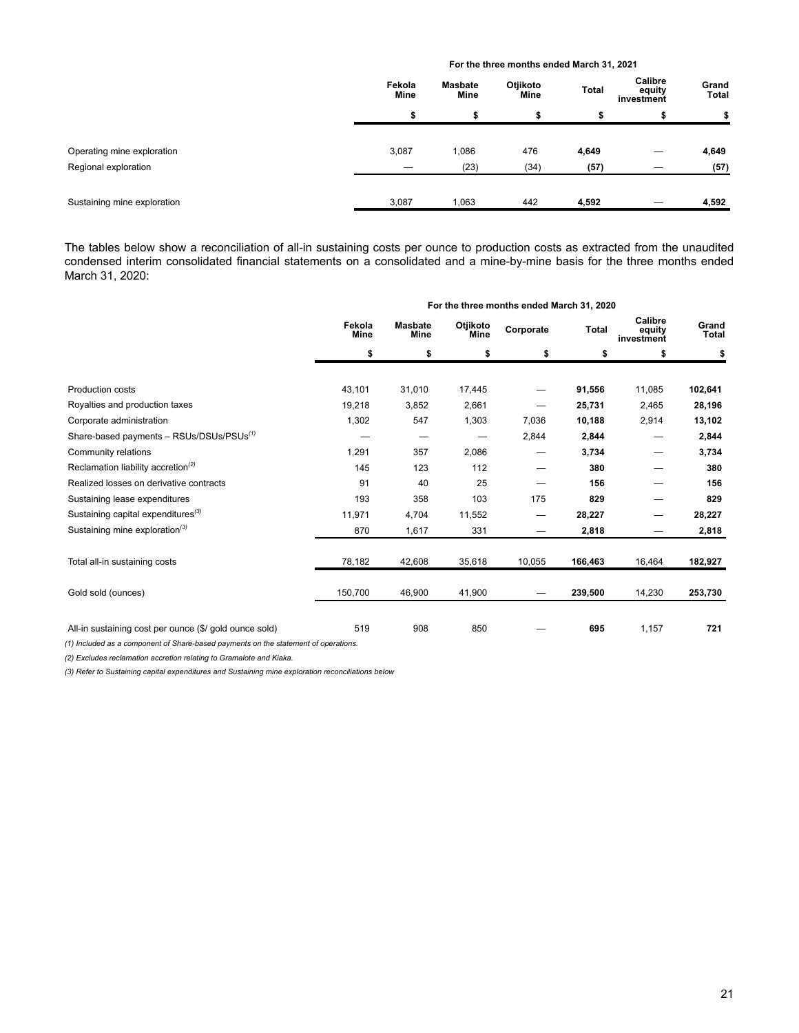# **For the three months ended March 31, 2021**

|                             | Fekola<br>Mine | <b>Masbate</b><br>Mine | Otjikoto<br>Mine | <b>Total</b> | Calibre<br>equity<br>investment | Grand<br>Total |
|-----------------------------|----------------|------------------------|------------------|--------------|---------------------------------|----------------|
|                             |                |                        |                  |              |                                 |                |
| Operating mine exploration  | 3,087          | 1,086                  | 476              | 4,649        |                                 | 4,649          |
| Regional exploration        |                | (23)                   | (34)             | (57)         |                                 | (57)           |
| Sustaining mine exploration | 3,087          | 1,063                  | 442              | 4,592        |                                 | 4,592          |

The tables below show a reconciliation of all-in sustaining costs per ounce to production costs as extracted from the unaudited condensed interim consolidated financial statements on a consolidated and a mine-by-mine basis for the three months ended March 31, 2020:

|                                                                                                                                               | For the three months ended March 31, 2020 |                               |                         |                                 |         |                                 |                       |  |
|-----------------------------------------------------------------------------------------------------------------------------------------------|-------------------------------------------|-------------------------------|-------------------------|---------------------------------|---------|---------------------------------|-----------------------|--|
|                                                                                                                                               | Fekola<br>Mine                            | <b>Masbate</b><br><b>Mine</b> | Otjikoto<br><b>Mine</b> | Corporate                       | Total   | Calibre<br>equity<br>investment | Grand<br><b>Total</b> |  |
|                                                                                                                                               | \$                                        | \$                            | \$                      | \$                              | \$      | \$                              | \$                    |  |
| <b>Production costs</b>                                                                                                                       | 43,101                                    | 31,010                        | 17,445                  |                                 | 91,556  | 11,085                          | 102,641               |  |
|                                                                                                                                               |                                           |                               |                         |                                 |         |                                 |                       |  |
| Royalties and production taxes                                                                                                                | 19,218                                    | 3,852                         | 2,661                   |                                 | 25,731  | 2,465                           | 28,196                |  |
| Corporate administration                                                                                                                      | 1,302                                     | 547                           | 1,303                   | 7,036                           | 10,188  | 2,914                           | 13,102                |  |
| Share-based payments - RSUs/DSUs/PSUs <sup>(1)</sup>                                                                                          |                                           |                               |                         | 2,844                           | 2,844   |                                 | 2,844                 |  |
| Community relations                                                                                                                           | 1,291                                     | 357                           | 2,086                   |                                 | 3,734   |                                 | 3,734                 |  |
| Reclamation liability accretion <sup><math>(2)</math></sup>                                                                                   | 145                                       | 123                           | 112                     |                                 | 380     |                                 | 380                   |  |
| Realized losses on derivative contracts                                                                                                       | 91                                        | 40                            | 25                      |                                 | 156     |                                 | 156                   |  |
| Sustaining lease expenditures                                                                                                                 | 193                                       | 358                           | 103                     | 175                             | 829     |                                 | 829                   |  |
| Sustaining capital expenditures <sup>(3)</sup>                                                                                                | 11,971                                    | 4,704                         | 11,552                  | $\hspace{0.1mm}-\hspace{0.1mm}$ | 28,227  |                                 | 28,227                |  |
| Sustaining mine exploration $(3)$                                                                                                             | 870                                       | 1,617                         | 331                     |                                 | 2,818   |                                 | 2,818                 |  |
| Total all-in sustaining costs                                                                                                                 | 78,182                                    | 42,608                        | 35,618                  | 10,055                          | 166,463 | 16,464                          | 182,927               |  |
| Gold sold (ounces)                                                                                                                            | 150,700                                   | 46,900                        | 41,900                  |                                 | 239,500 | 14,230                          | 253,730               |  |
| All-in sustaining cost per ounce (\$/ gold ounce sold)<br>(1) Included as a component of Share-based payments on the statement of operations. | 519                                       | 908                           | 850                     |                                 | 695     | 1,157                           | 721                   |  |

*(2) Excludes reclamation accretion relating to Gramalote and Kiaka.* 

*(3) Refer to Sustaining capital expenditures and Sustaining mine exploration reconciliations below*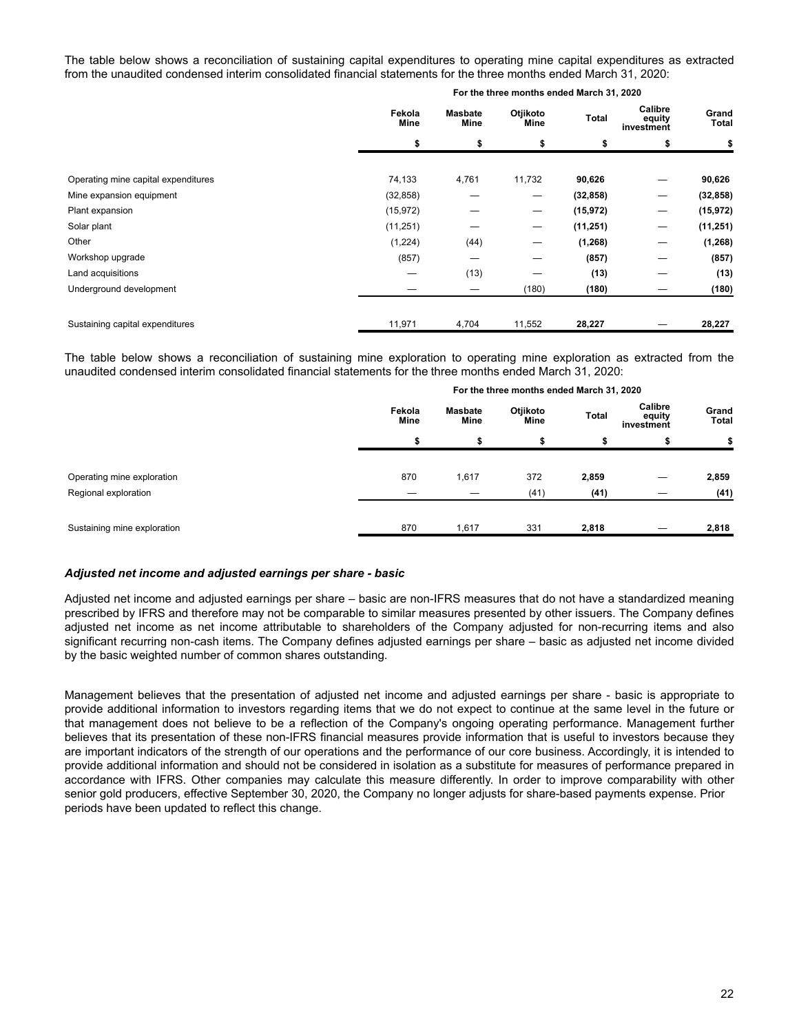The table below shows a reconciliation of sustaining capital expenditures to operating mine capital expenditures as extracted from the unaudited condensed interim consolidated financial statements for the three months ended March 31, 2020:

|                                     | Fekola<br>Mine | Masbate<br>Mine | Otjikoto<br><b>Mine</b>         | Total     | Calibre<br>equity<br>investment | Grand<br>Total |
|-------------------------------------|----------------|-----------------|---------------------------------|-----------|---------------------------------|----------------|
|                                     | \$             | \$              | \$                              | \$        | \$                              | \$             |
| Operating mine capital expenditures | 74,133         | 4,761           | 11,732                          | 90,626    |                                 | 90,626         |
| Mine expansion equipment            | (32, 858)      |                 | $\qquad \qquad \longleftarrow$  | (32, 858) | —                               | (32, 858)      |
| Plant expansion                     | (15, 972)      |                 | $\qquad \qquad \longleftarrow$  | (15, 972) | —                               | (15, 972)      |
| Solar plant                         | (11, 251)      |                 | $\hspace{0.1mm}-\hspace{0.1mm}$ | (11, 251) | $\hspace{0.1mm}-\hspace{0.1mm}$ | (11, 251)      |
| Other                               | (1,224)        | (44)            |                                 | (1, 268)  |                                 | (1, 268)       |
| Workshop upgrade                    | (857)          |                 |                                 | (857)     |                                 | (857)          |
| Land acquisitions                   |                | (13)            |                                 | (13)      |                                 | (13)           |
| Underground development             |                |                 | (180)                           | (180)     |                                 | (180)          |
| Sustaining capital expenditures     | 11,971         | 4,704           | 11,552                          | 28,227    |                                 | 28,227         |

#### **For the three months ended March 31, 2020**

The table below shows a reconciliation of sustaining mine exploration to operating mine exploration as extracted from the unaudited condensed interim consolidated financial statements for the three months ended March 31, 2020:

|                             |                | For the three months ended March 31, 2020 |                         |              |                                 |                       |  |  |  |
|-----------------------------|----------------|-------------------------------------------|-------------------------|--------------|---------------------------------|-----------------------|--|--|--|
|                             | Fekola<br>Mine | Masbate<br>Mine                           | Otjikoto<br><b>Mine</b> | <b>Total</b> | Calibre<br>equity<br>investment | Grand<br><b>Total</b> |  |  |  |
|                             |                | \$                                        | \$                      |              |                                 |                       |  |  |  |
| Operating mine exploration  | 870            | 1,617                                     | 372                     | 2,859        |                                 | 2,859                 |  |  |  |
| Regional exploration        |                |                                           | (41)                    | (41)         |                                 | (41)                  |  |  |  |
|                             |                |                                           |                         |              |                                 |                       |  |  |  |
| Sustaining mine exploration | 870            | 1,617                                     | 331                     | 2,818        |                                 | 2,818                 |  |  |  |

## *Adjusted net income and adjusted earnings per share - basic*

Adjusted net income and adjusted earnings per share – basic are non-IFRS measures that do not have a standardized meaning prescribed by IFRS and therefore may not be comparable to similar measures presented by other issuers. The Company defines adjusted net income as net income attributable to shareholders of the Company adjusted for non-recurring items and also significant recurring non-cash items. The Company defines adjusted earnings per share – basic as adjusted net income divided by the basic weighted number of common shares outstanding.

Management believes that the presentation of adjusted net income and adjusted earnings per share - basic is appropriate to provide additional information to investors regarding items that we do not expect to continue at the same level in the future or that management does not believe to be a reflection of the Company's ongoing operating performance. Management further believes that its presentation of these non-IFRS financial measures provide information that is useful to investors because they are important indicators of the strength of our operations and the performance of our core business. Accordingly, it is intended to provide additional information and should not be considered in isolation as a substitute for measures of performance prepared in accordance with IFRS. Other companies may calculate this measure differently. In order to improve comparability with other senior gold producers, effective September 30, 2020, the Company no longer adjusts for share-based payments expense. Prior periods have been updated to reflect this change.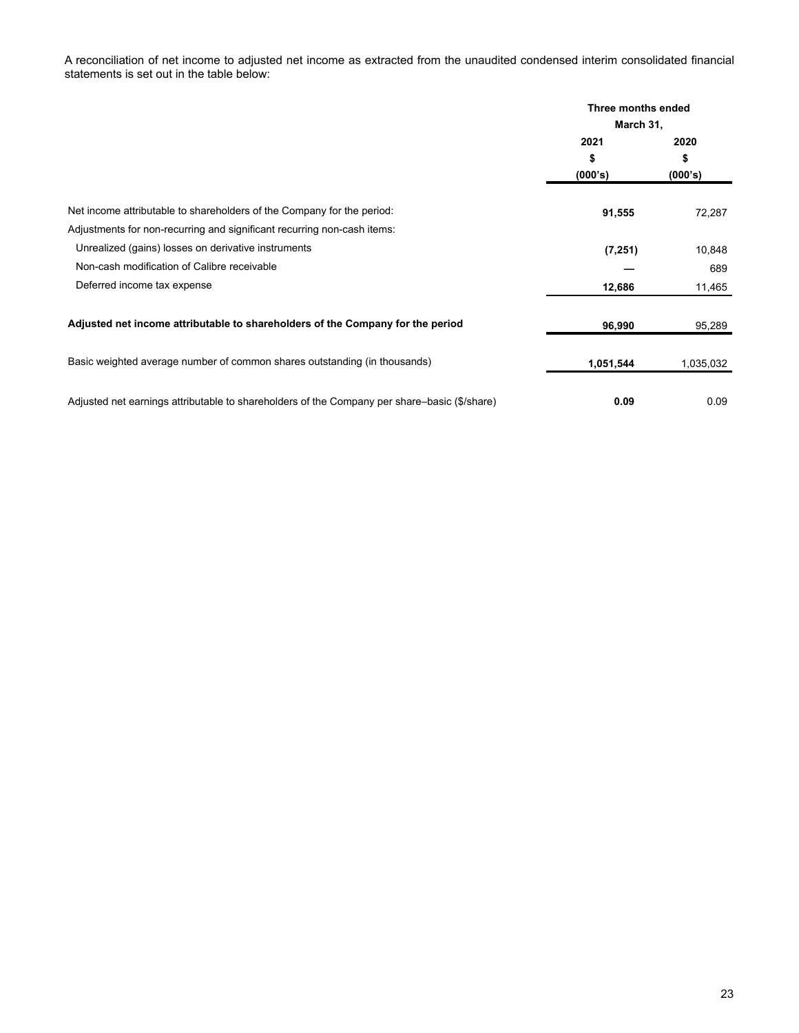A reconciliation of net income to adjusted net income as extracted from the unaudited condensed interim consolidated financial statements is set out in the table below:

|                                                                                              | Three months ended |           |
|----------------------------------------------------------------------------------------------|--------------------|-----------|
|                                                                                              | March 31,          |           |
|                                                                                              | 2021               | 2020      |
|                                                                                              | \$                 | \$        |
|                                                                                              | (000's)            | (000's)   |
| Net income attributable to shareholders of the Company for the period:                       | 91,555             | 72,287    |
| Adjustments for non-recurring and significant recurring non-cash items:                      |                    |           |
| Unrealized (gains) losses on derivative instruments                                          | (7, 251)           | 10,848    |
| Non-cash modification of Calibre receivable                                                  |                    | 689       |
| Deferred income tax expense                                                                  | 12,686             | 11,465    |
| Adjusted net income attributable to shareholders of the Company for the period               | 96,990             | 95,289    |
| Basic weighted average number of common shares outstanding (in thousands)                    | 1,051,544          | 1,035,032 |
| Adjusted net earnings attributable to shareholders of the Company per share-basic (\$/share) | 0.09               | 0.09      |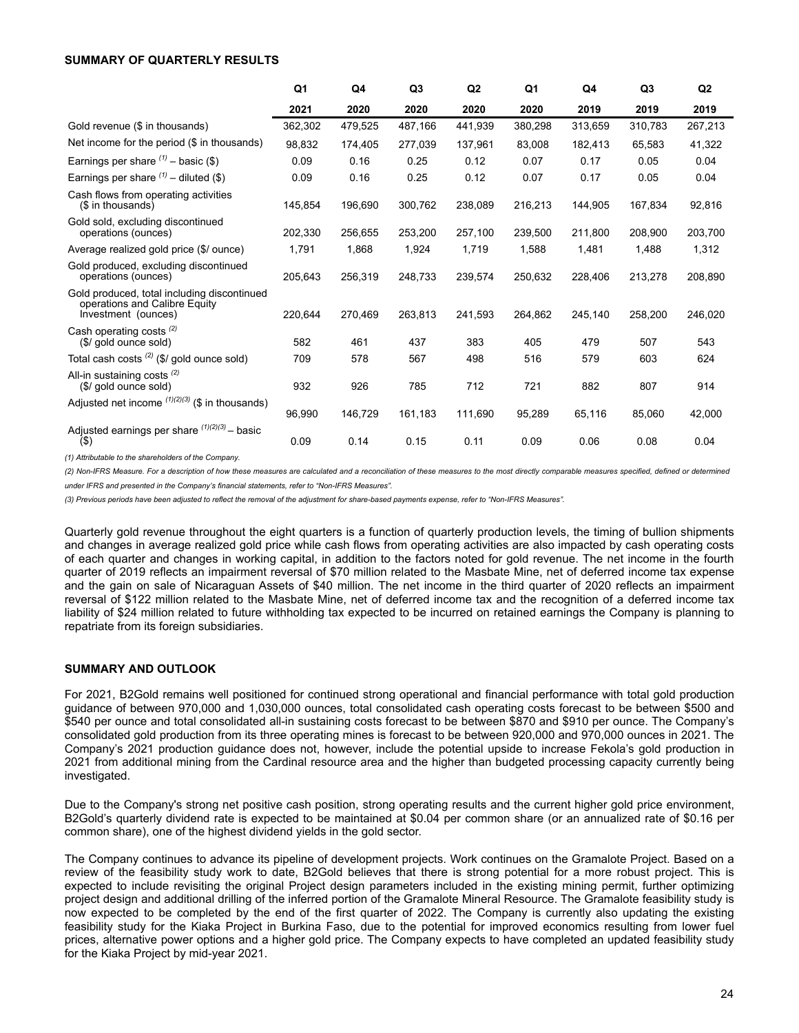#### <span id="page-23-0"></span>**SUMMARY OF QUARTERLY RESULTS**

|                                                                                                     | Q1      | Q4      | Q <sub>3</sub> | Q <sub>2</sub> | Q1      | Q4      | Q <sub>3</sub> | Q <sub>2</sub> |
|-----------------------------------------------------------------------------------------------------|---------|---------|----------------|----------------|---------|---------|----------------|----------------|
|                                                                                                     | 2021    | 2020    | 2020           | 2020           | 2020    | 2019    | 2019           | 2019           |
| Gold revenue (\$ in thousands)                                                                      | 362,302 | 479,525 | 487,166        | 441,939        | 380,298 | 313,659 | 310,783        | 267,213        |
| Net income for the period $(\$$ in thousands)                                                       | 98,832  | 174,405 | 277,039        | 137,961        | 83.008  | 182,413 | 65,583         | 41,322         |
| Earnings per share $(1)$ – basic (\$)                                                               | 0.09    | 0.16    | 0.25           | 0.12           | 0.07    | 0.17    | 0.05           | 0.04           |
| Earnings per share $(1)$ – diluted (\$)                                                             | 0.09    | 0.16    | 0.25           | 0.12           | 0.07    | 0.17    | 0.05           | 0.04           |
| Cash flows from operating activities<br>(\$ in thousands)                                           | 145,854 | 196,690 | 300,762        | 238,089        | 216,213 | 144,905 | 167,834        | 92,816         |
| Gold sold, excluding discontinued<br>operations (ounces)                                            | 202,330 | 256.655 | 253,200        | 257,100        | 239.500 | 211.800 | 208,900        | 203,700        |
| Average realized gold price (\$/ ounce)                                                             | 1,791   | 1,868   | 1,924          | 1,719          | 1,588   | 1,481   | 1,488          | 1,312          |
| Gold produced, excluding discontinued<br>operations (ounces)                                        | 205,643 | 256,319 | 248,733        | 239,574        | 250,632 | 228,406 | 213,278        | 208,890        |
| Gold produced, total including discontinued<br>operations and Calibre Equity<br>Investment (ounces) | 220.644 | 270.469 | 263,813        | 241,593        | 264,862 | 245,140 | 258.200        | 246,020        |
| Cash operating costs <sup>(2)</sup><br>(\$/ gold ounce sold)                                        | 582     | 461     | 437            | 383            | 405     | 479     | 507            | 543            |
| Total cash costs <sup>(2)</sup> (\$/ gold ounce sold)                                               | 709     | 578     | 567            | 498            | 516     | 579     | 603            | 624            |
| All-in sustaining costs <sup>(2)</sup><br>(\$/ gold ounce sold)                                     | 932     | 926     | 785            | 712            | 721     | 882     | 807            | 914            |
| Adjusted net income $(1)(2)(3)$ (\$ in thousands)                                                   | 96,990  | 146.729 | 161,183        | 111.690        | 95,289  | 65,116  | 85.060         | 42,000         |
| Adjusted earnings per share (1)(2)(3) - basic<br>$($ \$)                                            | 0.09    | 0.14    | 0.15           | 0.11           | 0.09    | 0.06    | 0.08           | 0.04           |

*(1) Attributable to the shareholders of the Company.*

*(2) Non-IFRS Measure. For a description of how these measures are calculated and a reconciliation of these measures to the most directly comparable measures specified, defined or determined under IFRS and presented in the Company's financial statements, refer to "Non-IFRS Measures".*

*(3) Previous periods have been adjusted to reflect the removal of the adjustment for share-based payments expense, refer to "Non-IFRS Measures".*

Quarterly gold revenue throughout the eight quarters is a function of quarterly production levels, the timing of bullion shipments and changes in average realized gold price while cash flows from operating activities are also impacted by cash operating costs of each quarter and changes in working capital, in addition to the factors noted for gold revenue. The net income in the fourth quarter of 2019 reflects an impairment reversal of \$70 million related to the Masbate Mine, net of deferred income tax expense and the gain on sale of Nicaraguan Assets of \$40 million. The net income in the third quarter of 2020 reflects an impairment reversal of \$122 million related to the Masbate Mine, net of deferred income tax and the recognition of a deferred income tax liability of \$24 million related to future withholding tax expected to be incurred on retained earnings the Company is planning to repatriate from its foreign subsidiaries.

## **SUMMARY AND OUTLOOK**

For 2021, B2Gold remains well positioned for continued strong operational and financial performance with total gold production guidance of between 970,000 and 1,030,000 ounces, total consolidated cash operating costs forecast to be between \$500 and \$540 per ounce and total consolidated all-in sustaining costs forecast to be between \$870 and \$910 per ounce. The Company's consolidated gold production from its three operating mines is forecast to be between 920,000 and 970,000 ounces in 2021. The Company's 2021 production guidance does not, however, include the potential upside to increase Fekola's gold production in 2021 from additional mining from the Cardinal resource area and the higher than budgeted processing capacity currently being investigated.

Due to the Company's strong net positive cash position, strong operating results and the current higher gold price environment, B2Gold's quarterly dividend rate is expected to be maintained at \$0.04 per common share (or an annualized rate of \$0.16 per common share), one of the highest dividend yields in the gold sector.

The Company continues to advance its pipeline of development projects. Work continues on the Gramalote Project. Based on a review of the feasibility study work to date, B2Gold believes that there is strong potential for a more robust project. This is expected to include revisiting the original Project design parameters included in the existing mining permit, further optimizing project design and additional drilling of the inferred portion of the Gramalote Mineral Resource. The Gramalote feasibility study is now expected to be completed by the end of the first quarter of 2022. The Company is currently also updating the existing feasibility study for the Kiaka Project in Burkina Faso, due to the potential for improved economics resulting from lower fuel prices, alternative power options and a higher gold price. The Company expects to have completed an updated feasibility study for the Kiaka Project by mid-year 2021.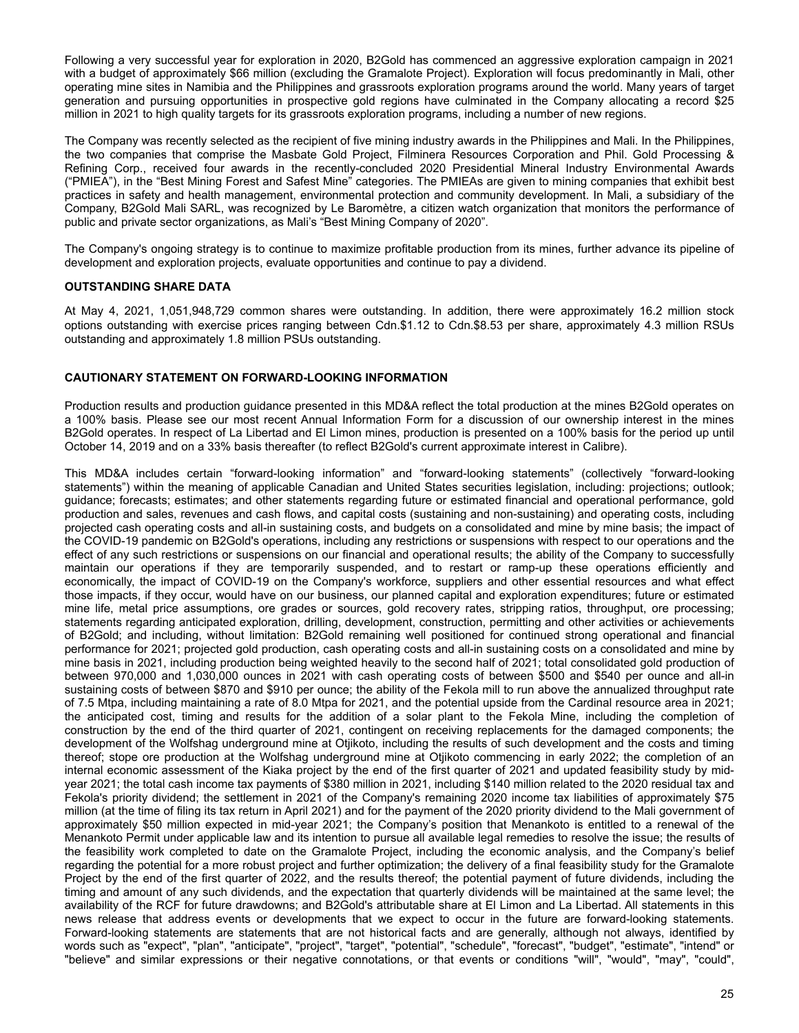<span id="page-24-0"></span>Following a very successful year for exploration in 2020, B2Gold has commenced an aggressive exploration campaign in 2021 with a budget of approximately \$66 million (excluding the Gramalote Project). Exploration will focus predominantly in Mali, other operating mine sites in Namibia and the Philippines and grassroots exploration programs around the world. Many years of target generation and pursuing opportunities in prospective gold regions have culminated in the Company allocating a record \$25 million in 2021 to high quality targets for its grassroots exploration programs, including a number of new regions.

The Company was recently selected as the recipient of five mining industry awards in the Philippines and Mali. In the Philippines, the two companies that comprise the Masbate Gold Project, Filminera Resources Corporation and Phil. Gold Processing & Refining Corp., received four awards in the recently-concluded 2020 Presidential Mineral Industry Environmental Awards ("PMIEA"), in the "Best Mining Forest and Safest Mine" categories. The PMIEAs are given to mining companies that exhibit best practices in safety and health management, environmental protection and community development. In Mali, a subsidiary of the Company, B2Gold Mali SARL, was recognized by Le Baromètre, a citizen watch organization that monitors the performance of public and private sector organizations, as Mali's "Best Mining Company of 2020".

The Company's ongoing strategy is to continue to maximize profitable production from its mines, further advance its pipeline of development and exploration projects, evaluate opportunities and continue to pay a dividend.

# **OUTSTANDING SHARE DATA**

At May 4, 2021, 1,051,948,729 common shares were outstanding. In addition, there were approximately 16.2 million stock options outstanding with exercise prices ranging between Cdn.\$1.12 to Cdn.\$8.53 per share, approximately 4.3 million RSUs outstanding and approximately 1.8 million PSUs outstanding.

## **CAUTIONARY STATEMENT ON FORWARD-LOOKING INFORMATION**

Production results and production guidance presented in this MD&A reflect the total production at the mines B2Gold operates on a 100% basis. Please see our most recent Annual Information Form for a discussion of our ownership interest in the mines B2Gold operates. In respect of La Libertad and El Limon mines, production is presented on a 100% basis for the period up until October 14, 2019 and on a 33% basis thereafter (to reflect B2Gold's current approximate interest in Calibre).

This MD&A includes certain "forward-looking information" and "forward-looking statements" (collectively "forward-looking statements") within the meaning of applicable Canadian and United States securities legislation, including: projections; outlook; guidance; forecasts; estimates; and other statements regarding future or estimated financial and operational performance, gold production and sales, revenues and cash flows, and capital costs (sustaining and non-sustaining) and operating costs, including projected cash operating costs and all-in sustaining costs, and budgets on a consolidated and mine by mine basis; the impact of the COVID-19 pandemic on B2Gold's operations, including any restrictions or suspensions with respect to our operations and the effect of any such restrictions or suspensions on our financial and operational results; the ability of the Company to successfully maintain our operations if they are temporarily suspended, and to restart or ramp-up these operations efficiently and economically, the impact of COVID-19 on the Company's workforce, suppliers and other essential resources and what effect those impacts, if they occur, would have on our business, our planned capital and exploration expenditures; future or estimated mine life, metal price assumptions, ore grades or sources, gold recovery rates, stripping ratios, throughput, ore processing; statements regarding anticipated exploration, drilling, development, construction, permitting and other activities or achievements of B2Gold; and including, without limitation: B2Gold remaining well positioned for continued strong operational and financial performance for 2021; projected gold production, cash operating costs and all-in sustaining costs on a consolidated and mine by mine basis in 2021, including production being weighted heavily to the second half of 2021; total consolidated gold production of between 970,000 and 1,030,000 ounces in 2021 with cash operating costs of between \$500 and \$540 per ounce and all-in sustaining costs of between \$870 and \$910 per ounce; the ability of the Fekola mill to run above the annualized throughput rate of 7.5 Mtpa, including maintaining a rate of 8.0 Mtpa for 2021, and the potential upside from the Cardinal resource area in 2021; the anticipated cost, timing and results for the addition of a solar plant to the Fekola Mine, including the completion of construction by the end of the third quarter of 2021, contingent on receiving replacements for the damaged components; the development of the Wolfshag underground mine at Otjikoto, including the results of such development and the costs and timing thereof; stope ore production at the Wolfshag underground mine at Otjikoto commencing in early 2022; the completion of an internal economic assessment of the Kiaka project by the end of the first quarter of 2021 and updated feasibility study by midyear 2021; the total cash income tax payments of \$380 million in 2021, including \$140 million related to the 2020 residual tax and Fekola's priority dividend; the settlement in 2021 of the Company's remaining 2020 income tax liabilities of approximately \$75 million (at the time of filing its tax return in April 2021) and for the payment of the 2020 priority dividend to the Mali government of approximately \$50 million expected in mid-year 2021; the Company's position that Menankoto is entitled to a renewal of the Menankoto Permit under applicable law and its intention to pursue all available legal remedies to resolve the issue; the results of the feasibility work completed to date on the Gramalote Project, including the economic analysis, and the Company's belief regarding the potential for a more robust project and further optimization; the delivery of a final feasibility study for the Gramalote Project by the end of the first quarter of 2022, and the results thereof; the potential payment of future dividends, including the timing and amount of any such dividends, and the expectation that quarterly dividends will be maintained at the same level; the availability of the RCF for future drawdowns; and B2Gold's attributable share at El Limon and La Libertad. All statements in this news release that address events or developments that we expect to occur in the future are forward-looking statements. Forward-looking statements are statements that are not historical facts and are generally, although not always, identified by words such as "expect", "plan", "anticipate", "project", "target", "potential", "schedule", "forecast", "budget", "estimate", "intend" or "believe" and similar expressions or their negative connotations, or that events or conditions "will", "would", "may", "could",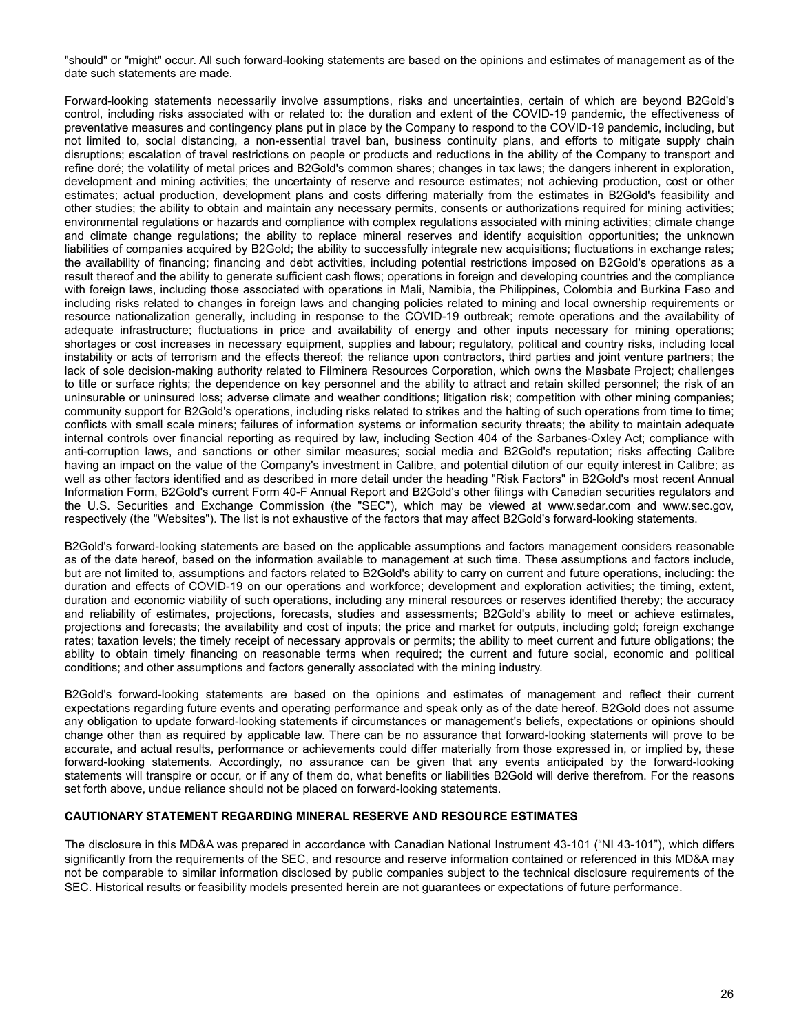"should" or "might" occur. All such forward-looking statements are based on the opinions and estimates of management as of the date such statements are made.

Forward-looking statements necessarily involve assumptions, risks and uncertainties, certain of which are beyond B2Gold's control, including risks associated with or related to: the duration and extent of the COVID-19 pandemic, the effectiveness of preventative measures and contingency plans put in place by the Company to respond to the COVID-19 pandemic, including, but not limited to, social distancing, a non-essential travel ban, business continuity plans, and efforts to mitigate supply chain disruptions; escalation of travel restrictions on people or products and reductions in the ability of the Company to transport and refine doré; the volatility of metal prices and B2Gold's common shares; changes in tax laws; the dangers inherent in exploration, development and mining activities; the uncertainty of reserve and resource estimates; not achieving production, cost or other estimates; actual production, development plans and costs differing materially from the estimates in B2Gold's feasibility and other studies; the ability to obtain and maintain any necessary permits, consents or authorizations required for mining activities; environmental regulations or hazards and compliance with complex regulations associated with mining activities; climate change and climate change regulations; the ability to replace mineral reserves and identify acquisition opportunities; the unknown liabilities of companies acquired by B2Gold; the ability to successfully integrate new acquisitions; fluctuations in exchange rates; the availability of financing; financing and debt activities, including potential restrictions imposed on B2Gold's operations as a result thereof and the ability to generate sufficient cash flows; operations in foreign and developing countries and the compliance with foreign laws, including those associated with operations in Mali, Namibia, the Philippines, Colombia and Burkina Faso and including risks related to changes in foreign laws and changing policies related to mining and local ownership requirements or resource nationalization generally, including in response to the COVID-19 outbreak; remote operations and the availability of adequate infrastructure; fluctuations in price and availability of energy and other inputs necessary for mining operations; shortages or cost increases in necessary equipment, supplies and labour; regulatory, political and country risks, including local instability or acts of terrorism and the effects thereof; the reliance upon contractors, third parties and joint venture partners; the lack of sole decision-making authority related to Filminera Resources Corporation, which owns the Masbate Project; challenges to title or surface rights; the dependence on key personnel and the ability to attract and retain skilled personnel; the risk of an uninsurable or uninsured loss; adverse climate and weather conditions; litigation risk; competition with other mining companies; community support for B2Gold's operations, including risks related to strikes and the halting of such operations from time to time; conflicts with small scale miners; failures of information systems or information security threats; the ability to maintain adequate internal controls over financial reporting as required by law, including Section 404 of the Sarbanes-Oxley Act; compliance with anti-corruption laws, and sanctions or other similar measures; social media and B2Gold's reputation; risks affecting Calibre having an impact on the value of the Company's investment in Calibre, and potential dilution of our equity interest in Calibre; as well as other factors identified and as described in more detail under the heading "Risk Factors" in B2Gold's most recent Annual Information Form, B2Gold's current Form 40-F Annual Report and B2Gold's other filings with Canadian securities regulators and the U.S. Securities and Exchange Commission (the "SEC"), which may be viewed at www.sedar.com and www.sec.gov, respectively (the "Websites"). The list is not exhaustive of the factors that may affect B2Gold's forward-looking statements.

B2Gold's forward-looking statements are based on the applicable assumptions and factors management considers reasonable as of the date hereof, based on the information available to management at such time. These assumptions and factors include, but are not limited to, assumptions and factors related to B2Gold's ability to carry on current and future operations, including: the duration and effects of COVID-19 on our operations and workforce; development and exploration activities; the timing, extent, duration and economic viability of such operations, including any mineral resources or reserves identified thereby; the accuracy and reliability of estimates, projections, forecasts, studies and assessments; B2Gold's ability to meet or achieve estimates, projections and forecasts; the availability and cost of inputs; the price and market for outputs, including gold; foreign exchange rates; taxation levels; the timely receipt of necessary approvals or permits; the ability to meet current and future obligations; the ability to obtain timely financing on reasonable terms when required; the current and future social, economic and political conditions; and other assumptions and factors generally associated with the mining industry.

B2Gold's forward-looking statements are based on the opinions and estimates of management and reflect their current expectations regarding future events and operating performance and speak only as of the date hereof. B2Gold does not assume any obligation to update forward-looking statements if circumstances or management's beliefs, expectations or opinions should change other than as required by applicable law. There can be no assurance that forward-looking statements will prove to be accurate, and actual results, performance or achievements could differ materially from those expressed in, or implied by, these forward-looking statements. Accordingly, no assurance can be given that any events anticipated by the forward-looking statements will transpire or occur, or if any of them do, what benefits or liabilities B2Gold will derive therefrom. For the reasons set forth above, undue reliance should not be placed on forward-looking statements.

# **CAUTIONARY STATEMENT REGARDING MINERAL RESERVE AND RESOURCE ESTIMATES**

The disclosure in this MD&A was prepared in accordance with Canadian National Instrument 43-101 ("NI 43-101"), which differs significantly from the requirements of the SEC, and resource and reserve information contained or referenced in this MD&A may not be comparable to similar information disclosed by public companies subject to the technical disclosure requirements of the SEC. Historical results or feasibility models presented herein are not guarantees or expectations of future performance.